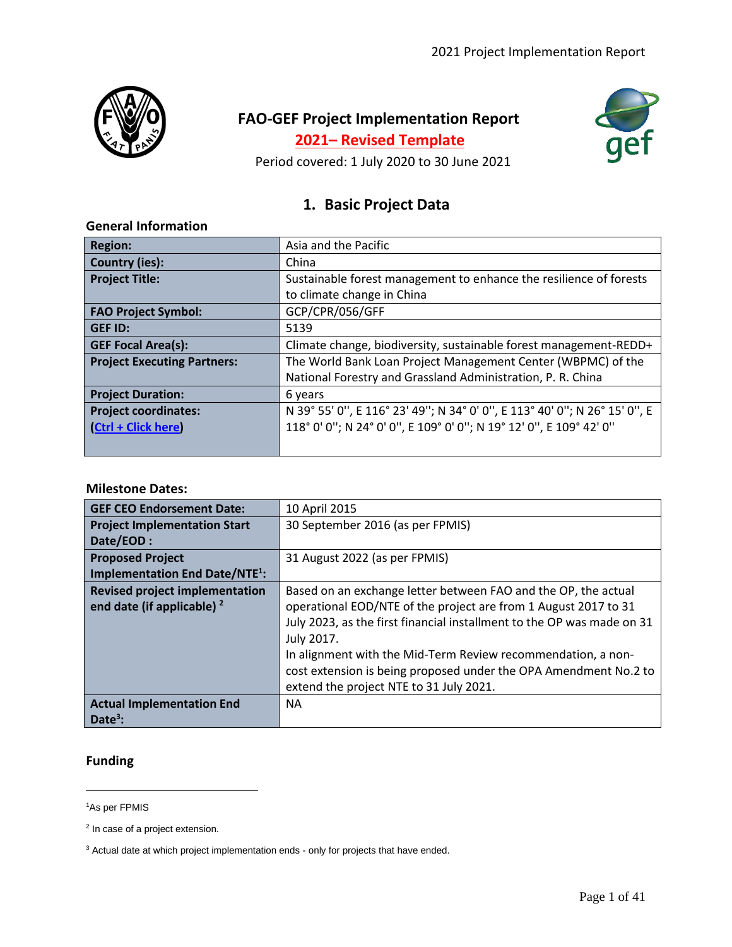

# **FAO-GEF Project Implementation Report**

**2021– Revised Template**



Period covered: 1 July 2020 to 30 June 2021

## **1. Basic Project Data**

### **General Information**

| <b>Region:</b>                     | Asia and the Pacific                                                      |  |  |  |  |  |
|------------------------------------|---------------------------------------------------------------------------|--|--|--|--|--|
| <b>Country (ies):</b>              | China                                                                     |  |  |  |  |  |
| <b>Project Title:</b>              | Sustainable forest management to enhance the resilience of forests        |  |  |  |  |  |
|                                    | to climate change in China                                                |  |  |  |  |  |
| <b>FAO Project Symbol:</b>         | GCP/CPR/056/GFF                                                           |  |  |  |  |  |
| <b>GEF ID:</b>                     | 5139                                                                      |  |  |  |  |  |
| <b>GEF Focal Area(s):</b>          | Climate change, biodiversity, sustainable forest management-REDD+         |  |  |  |  |  |
| <b>Project Executing Partners:</b> | The World Bank Loan Project Management Center (WBPMC) of the              |  |  |  |  |  |
|                                    | National Forestry and Grassland Administration, P. R. China               |  |  |  |  |  |
| <b>Project Duration:</b>           | 6 years                                                                   |  |  |  |  |  |
| <b>Project coordinates:</b>        | N 39° 55' 0", E 116° 23' 49"; N 34° 0' 0", E 113° 40' 0"; N 26° 15' 0", E |  |  |  |  |  |
| (Ctrl + Click here)                | 118° 0' 0"; N 24° 0' 0", E 109° 0' 0"; N 19° 12' 0", E 109° 42' 0"        |  |  |  |  |  |
|                                    |                                                                           |  |  |  |  |  |

#### **Milestone Dates:**

| <b>GEF CEO Endorsement Date:</b>                | 10 April 2015                                                          |
|-------------------------------------------------|------------------------------------------------------------------------|
| <b>Project Implementation Start</b>             | 30 September 2016 (as per FPMIS)                                       |
| Date/EOD:                                       |                                                                        |
| <b>Proposed Project</b>                         | 31 August 2022 (as per FPMIS)                                          |
| <b>Implementation End Date/NTE<sup>1</sup>:</b> |                                                                        |
| <b>Revised project implementation</b>           | Based on an exchange letter between FAO and the OP, the actual         |
| end date (if applicable) $2$                    | operational EOD/NTE of the project are from 1 August 2017 to 31        |
|                                                 | July 2023, as the first financial installment to the OP was made on 31 |
|                                                 | July 2017.                                                             |
|                                                 | In alignment with the Mid-Term Review recommendation, a non-           |
|                                                 | cost extension is being proposed under the OPA Amendment No.2 to       |
|                                                 | extend the project NTE to 31 July 2021.                                |
| <b>Actual Implementation End</b>                | NА                                                                     |
| Date <sup>3</sup> :                             |                                                                        |

### **Funding**

<sup>1</sup>As per FPMIS

<sup>&</sup>lt;sup>2</sup> In case of a project extension.

<sup>&</sup>lt;sup>3</sup> Actual date at which project implementation ends - only for projects that have ended.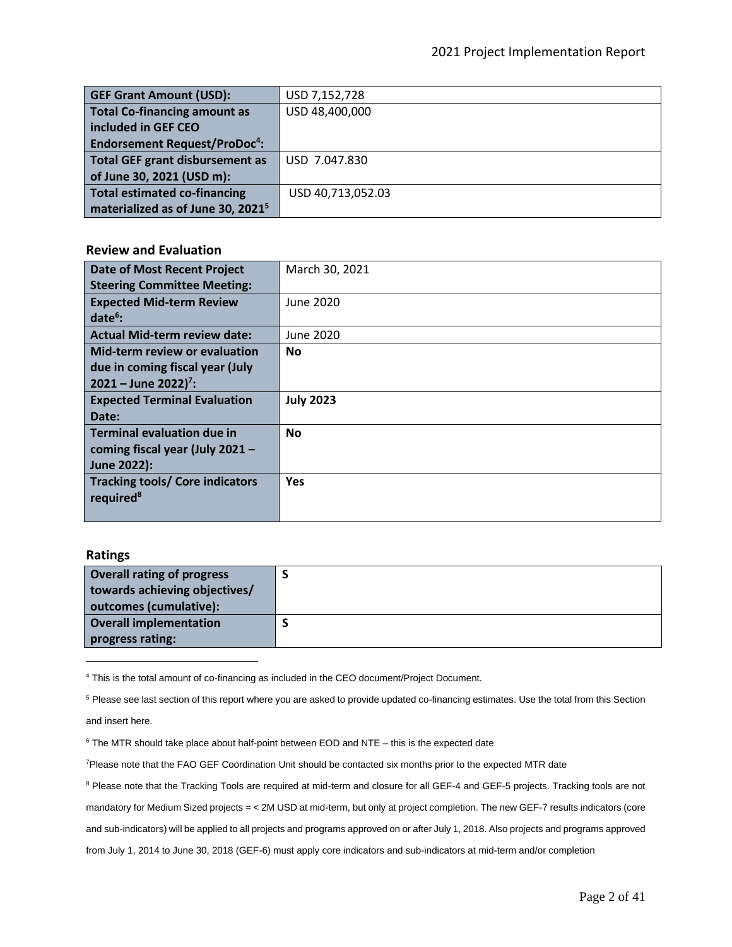| <b>GEF Grant Amount (USD):</b>                 | USD 7,152,728     |
|------------------------------------------------|-------------------|
| <b>Total Co-financing amount as</b>            | USD 48,400,000    |
| included in GEF CEO                            |                   |
| <b>Endorsement Request/ProDoc<sup>4</sup>:</b> |                   |
| <b>Total GEF grant disbursement as</b>         | USD 7.047.830     |
| of June 30, 2021 (USD m):                      |                   |
| <b>Total estimated co-financing</b>            | USD 40,713,052.03 |
| materialized as of June 30, 2021 <sup>5</sup>  |                   |

#### **Review and Evaluation**

| <b>Date of Most Recent Project</b>     | March 30, 2021   |
|----------------------------------------|------------------|
| <b>Steering Committee Meeting:</b>     |                  |
| <b>Expected Mid-term Review</b>        | June 2020        |
| $date6$ :                              |                  |
| <b>Actual Mid-term review date:</b>    | June 2020        |
| <b>Mid-term review or evaluation</b>   | <b>No</b>        |
| due in coming fiscal year (July        |                  |
| $2021 -$ June 2022) <sup>7</sup> :     |                  |
| <b>Expected Terminal Evaluation</b>    | <b>July 2023</b> |
| Date:                                  |                  |
| <b>Terminal evaluation due in</b>      | <b>No</b>        |
| coming fiscal year (July 2021 $-$      |                  |
| June 2022):                            |                  |
| <b>Tracking tools/ Core indicators</b> | <b>Yes</b>       |
| required <sup>8</sup>                  |                  |
|                                        |                  |

#### **Ratings**

| <b>Overall rating of progress</b><br>towards achieving objectives/<br>outcomes (cumulative): |  |
|----------------------------------------------------------------------------------------------|--|
| Overall implementation<br>progress rating:                                                   |  |

<sup>4</sup> This is the total amount of co-financing as included in the CEO document/Project Document.

<sup>5</sup> Please see last section of this report where you are asked to provide updated co-financing estimates. Use the total from this Section and insert here.

 $6$  The MTR should take place about half-point between EOD and NTE – this is the expected date

<sup>7</sup>Please note that the FAO GEF Coordination Unit should be contacted six months prior to the expected MTR date

<sup>8</sup> Please note that the Tracking Tools are required at mid-term and closure for all GEF-4 and GEF-5 projects. Tracking tools are not mandatory for Medium Sized projects = < 2M USD at mid-term, but only at project completion. The new GEF-7 results indicators (core and sub-indicators) will be applied to all projects and programs approved on or after July 1, 2018. Also projects and programs approved from July 1, 2014 to June 30, 2018 (GEF-6) must apply core indicators and sub-indicators at mid-term and/or completion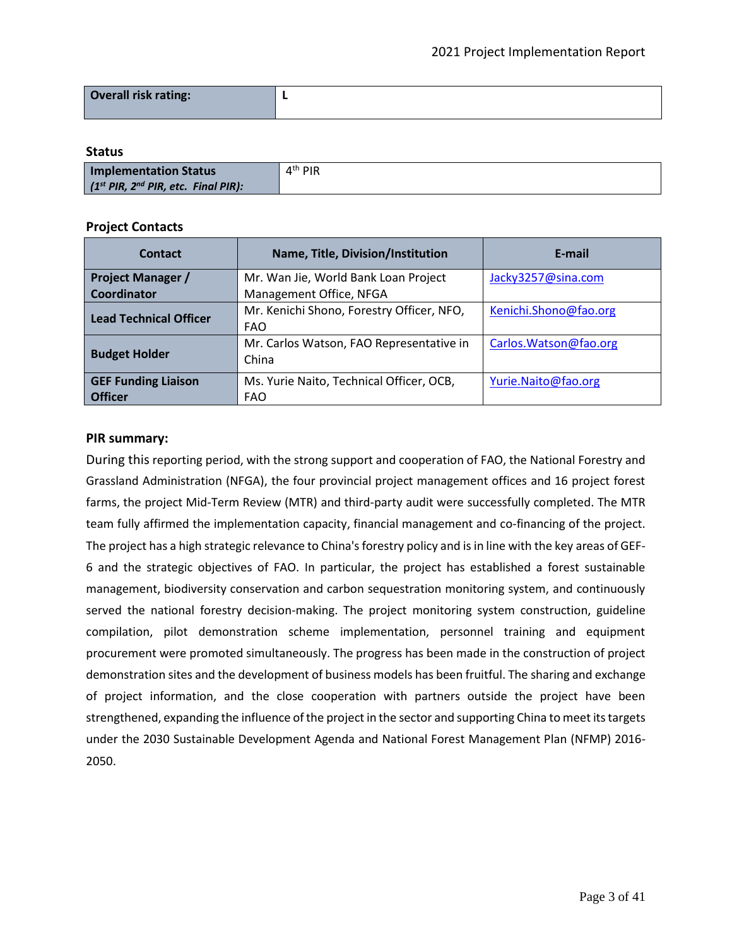| Overall risk rating: |  |
|----------------------|--|
|                      |  |

#### **Status**

| Implementation Status                         | $4th$ PIR |
|-----------------------------------------------|-----------|
| $(1^{st}$ PIR, $2^{nd}$ PIR, etc. Final PIR): |           |

#### **Project Contacts**

| <b>Contact</b>                                                   | Name, Title, Division/Institution         | E-mail                 |  |
|------------------------------------------------------------------|-------------------------------------------|------------------------|--|
| Mr. Wan Jie, World Bank Loan Project<br><b>Project Manager /</b> |                                           | Jacky3257@sina.com     |  |
| Coordinator                                                      | Management Office, NFGA                   |                        |  |
| <b>Lead Technical Officer</b>                                    | Mr. Kenichi Shono, Forestry Officer, NFO, | Kenichi.Shono@fao.org  |  |
|                                                                  | <b>FAO</b>                                |                        |  |
|                                                                  | Mr. Carlos Watson, FAO Representative in  | Carlos. Watson@fao.org |  |
| <b>Budget Holder</b>                                             | China                                     |                        |  |
| <b>GEF Funding Liaison</b>                                       | Ms. Yurie Naito, Technical Officer, OCB,  | Yurie.Naito@fao.org    |  |
| <b>Officer</b>                                                   | <b>FAO</b>                                |                        |  |

#### **PIR summary:**

During this reporting period, with the strong support and cooperation of FAO, the National Forestry and Grassland Administration (NFGA), the four provincial project management offices and 16 project forest farms, the project Mid-Term Review (MTR) and third-party audit were successfully completed. The MTR team fully affirmed the implementation capacity, financial management and co-financing of the project. The project has a high strategic relevance to China's forestry policy and is in line with the key areas of GEF-6 and the strategic objectives of FAO. In particular, the project has established a forest sustainable management, biodiversity conservation and carbon sequestration monitoring system, and continuously served the national forestry decision-making. The project monitoring system construction, guideline compilation, pilot demonstration scheme implementation, personnel training and equipment procurement were promoted simultaneously. The progress has been made in the construction of project demonstration sites and the development of business models has been fruitful. The sharing and exchange of project information, and the close cooperation with partners outside the project have been strengthened, expanding the influence of the project in the sector and supporting China to meet its targets under the 2030 Sustainable Development Agenda and National Forest Management Plan (NFMP) 2016- 2050.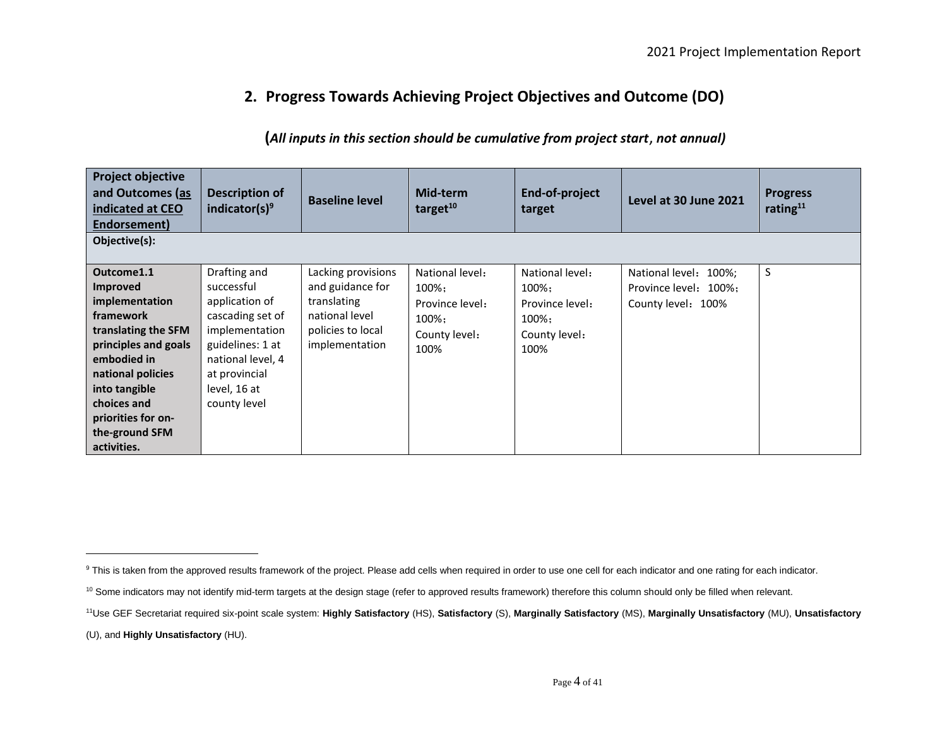## **2. Progress Towards Achieving Project Objectives and Outcome (DO)**

### **(***All inputs in this section should be cumulative from project start*, *not annual)*

| Objective(s):<br>S<br>Outcome1.1<br>Drafting and<br>Lacking provisions<br>National level:<br>National level:<br>National level: 100%;<br>and guidance for<br>successful<br>Improved<br>$100\%$<br>100%;<br>Province level: 100%:<br>implementation<br>application of<br>translating<br>Province level:<br>County level: 100%<br>Province level:<br>framework<br>cascading set of<br>national level<br>100%;<br>100%;<br>implementation<br>policies to local<br>translating the SFM<br>County level:<br>County level: | indicated at CEO<br>Endorsement) |
|----------------------------------------------------------------------------------------------------------------------------------------------------------------------------------------------------------------------------------------------------------------------------------------------------------------------------------------------------------------------------------------------------------------------------------------------------------------------------------------------------------------------|----------------------------------|
|                                                                                                                                                                                                                                                                                                                                                                                                                                                                                                                      |                                  |
| guidelines: 1 at<br>implementation<br>100%<br>100%<br>national level, 4<br>embodied in<br>national policies<br>at provincial<br>into tangible<br>level, 16 at<br>county level<br>choices and<br>priorities for on-<br>the-ground SFM<br>activities.                                                                                                                                                                                                                                                                  | principles and goals             |

(U), and **Highly Unsatisfactory** (HU).

<sup>&</sup>lt;sup>9</sup> This is taken from the approved results framework of the project. Please add cells when required in order to use one cell for each indicator and one rating for each indicator.

<sup>&</sup>lt;sup>10</sup> Some indicators may not identify mid-term targets at the design stage (refer to approved results framework) therefore this column should only be filled when relevant.

<sup>11</sup>Use GEF Secretariat required six-point scale system: **Highly Satisfactory** (HS), **Satisfactory** (S), **Marginally Satisfactory** (MS), **Marginally Unsatisfactory** (MU), **Unsatisfactory**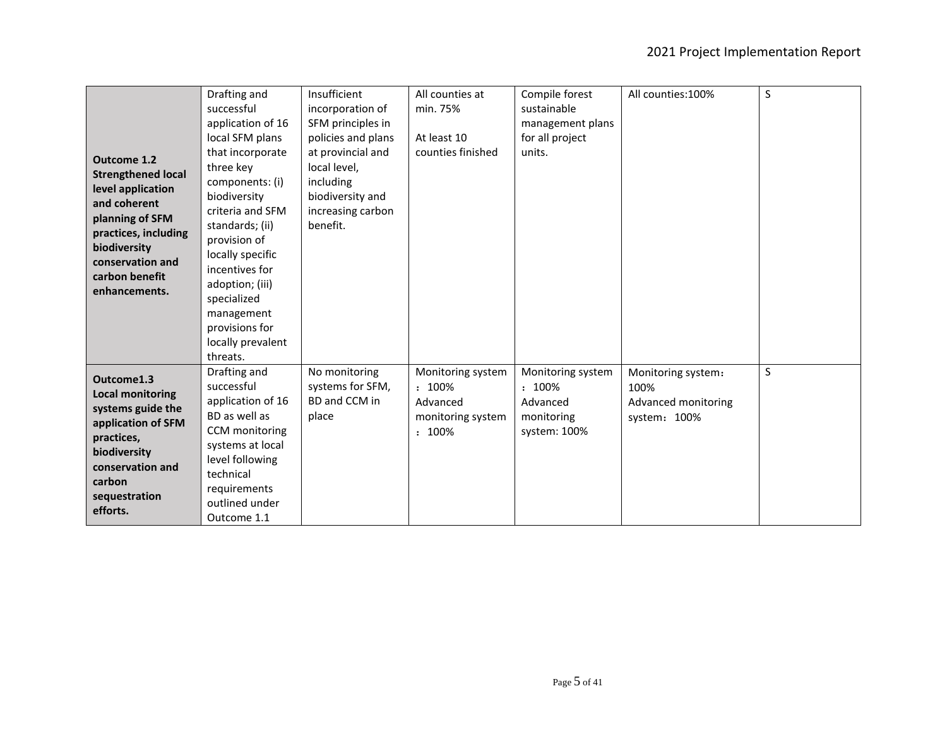| <b>Outcome 1.2</b><br><b>Strengthened local</b><br>level application<br>and coherent<br>planning of SFM<br>practices, including<br>biodiversity<br>conservation and<br>carbon benefit<br>enhancements. | Drafting and<br>successful<br>application of 16<br>local SFM plans<br>that incorporate<br>three key<br>components: (i)<br>biodiversity<br>criteria and SFM<br>standards; (ii)<br>provision of<br>locally specific<br>incentives for<br>adoption; (iii)<br>specialized<br>management<br>provisions for<br>locally prevalent | Insufficient<br>incorporation of<br>SFM principles in<br>policies and plans<br>at provincial and<br>local level,<br>including<br>biodiversity and<br>increasing carbon<br>benefit. | All counties at<br>min. 75%<br>At least 10<br>counties finished              | Compile forest<br>sustainable<br>management plans<br>for all project<br>units. | All counties: 100%                                                | S            |
|--------------------------------------------------------------------------------------------------------------------------------------------------------------------------------------------------------|----------------------------------------------------------------------------------------------------------------------------------------------------------------------------------------------------------------------------------------------------------------------------------------------------------------------------|------------------------------------------------------------------------------------------------------------------------------------------------------------------------------------|------------------------------------------------------------------------------|--------------------------------------------------------------------------------|-------------------------------------------------------------------|--------------|
| Outcome1.3<br><b>Local monitoring</b><br>systems guide the<br>application of SFM<br>practices,<br>biodiversity<br>conservation and<br>carbon<br>sequestration<br>efforts.                              | threats.<br>Drafting and<br>successful<br>application of 16<br>BD as well as<br>CCM monitoring<br>systems at local<br>level following<br>technical<br>requirements<br>outlined under<br>Outcome 1.1                                                                                                                        | No monitoring<br>systems for SFM,<br>BD and CCM in<br>place                                                                                                                        | Monitoring system<br>$: 100\%$<br>Advanced<br>monitoring system<br>$: 100\%$ | Monitoring system<br>: 100%<br>Advanced<br>monitoring<br>system: 100%          | Monitoring system:<br>100%<br>Advanced monitoring<br>system: 100% | $\mathsf{S}$ |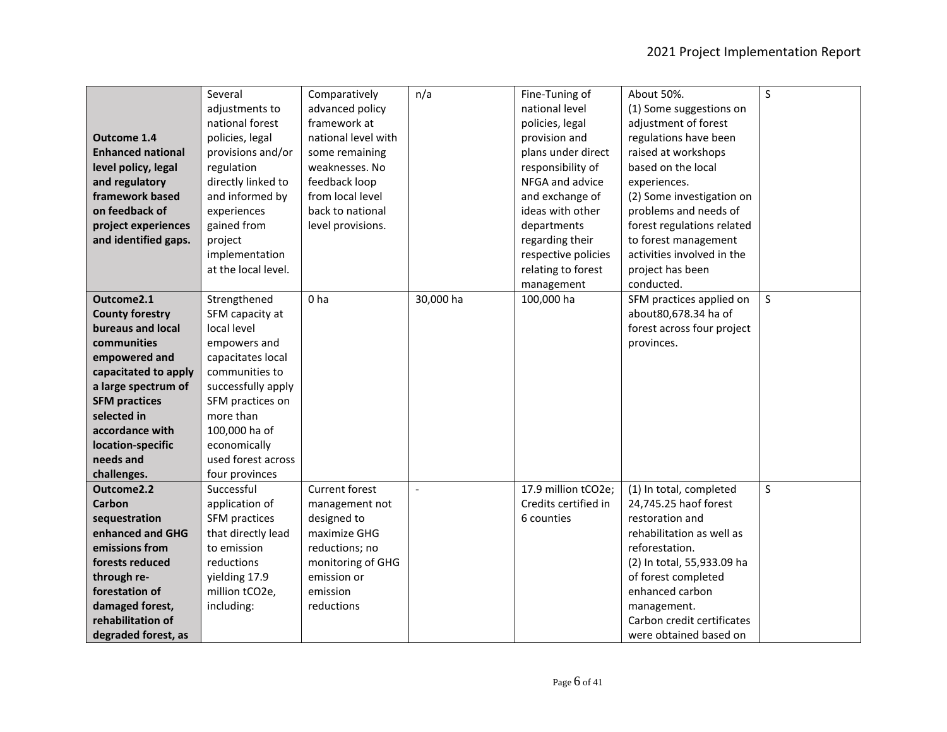|                          | Several             | Comparatively       | n/a            | Fine-Tuning of       | About 50%.                 | S       |
|--------------------------|---------------------|---------------------|----------------|----------------------|----------------------------|---------|
|                          | adjustments to      | advanced policy     |                | national level       | (1) Some suggestions on    |         |
|                          | national forest     | framework at        |                | policies, legal      | adjustment of forest       |         |
| <b>Outcome 1.4</b>       | policies, legal     | national level with |                | provision and        | regulations have been      |         |
| <b>Enhanced national</b> | provisions and/or   | some remaining      |                | plans under direct   | raised at workshops        |         |
| level policy, legal      | regulation          | weaknesses. No      |                | responsibility of    | based on the local         |         |
| and regulatory           | directly linked to  | feedback loop       |                | NFGA and advice      | experiences.               |         |
| framework based          | and informed by     | from local level    |                | and exchange of      | (2) Some investigation on  |         |
| on feedback of           | experiences         | back to national    |                | ideas with other     | problems and needs of      |         |
| project experiences      | gained from         | level provisions.   |                | departments          | forest regulations related |         |
| and identified gaps.     | project             |                     |                | regarding their      | to forest management       |         |
|                          | implementation      |                     |                | respective policies  | activities involved in the |         |
|                          | at the local level. |                     |                | relating to forest   | project has been           |         |
|                          |                     |                     |                | management           | conducted.                 |         |
| Outcome2.1               | Strengthened        | 0 <sub>ha</sub>     | 30,000 ha      | 100,000 ha           | SFM practices applied on   | $\sf S$ |
| <b>County forestry</b>   | SFM capacity at     |                     |                |                      | about80,678.34 ha of       |         |
| bureaus and local        | local level         |                     |                |                      | forest across four project |         |
| communities              | empowers and        |                     |                |                      | provinces.                 |         |
| empowered and            | capacitates local   |                     |                |                      |                            |         |
| capacitated to apply     | communities to      |                     |                |                      |                            |         |
| a large spectrum of      | successfully apply  |                     |                |                      |                            |         |
| <b>SFM practices</b>     | SFM practices on    |                     |                |                      |                            |         |
| selected in              | more than           |                     |                |                      |                            |         |
| accordance with          | 100,000 ha of       |                     |                |                      |                            |         |
| location-specific        | economically        |                     |                |                      |                            |         |
| needs and                | used forest across  |                     |                |                      |                            |         |
| challenges.              | four provinces      |                     |                |                      |                            |         |
| Outcome2.2               | Successful          | Current forest      | $\blacksquare$ | 17.9 million tCO2e;  | (1) In total, completed    | S       |
| Carbon                   | application of      | management not      |                | Credits certified in | 24,745.25 haof forest      |         |
| sequestration            | SFM practices       | designed to         |                | 6 counties           | restoration and            |         |
| enhanced and GHG         | that directly lead  | maximize GHG        |                |                      | rehabilitation as well as  |         |
| emissions from           | to emission         | reductions; no      |                |                      | reforestation.             |         |
| forests reduced          | reductions          | monitoring of GHG   |                |                      | (2) In total, 55,933.09 ha |         |
| through re-              | yielding 17.9       | emission or         |                |                      | of forest completed        |         |
| forestation of           | million tCO2e,      | emission            |                |                      | enhanced carbon            |         |
| damaged forest,          | including:          | reductions          |                |                      | management.                |         |
| rehabilitation of        |                     |                     |                |                      | Carbon credit certificates |         |
| degraded forest, as      |                     |                     |                |                      | were obtained based on     |         |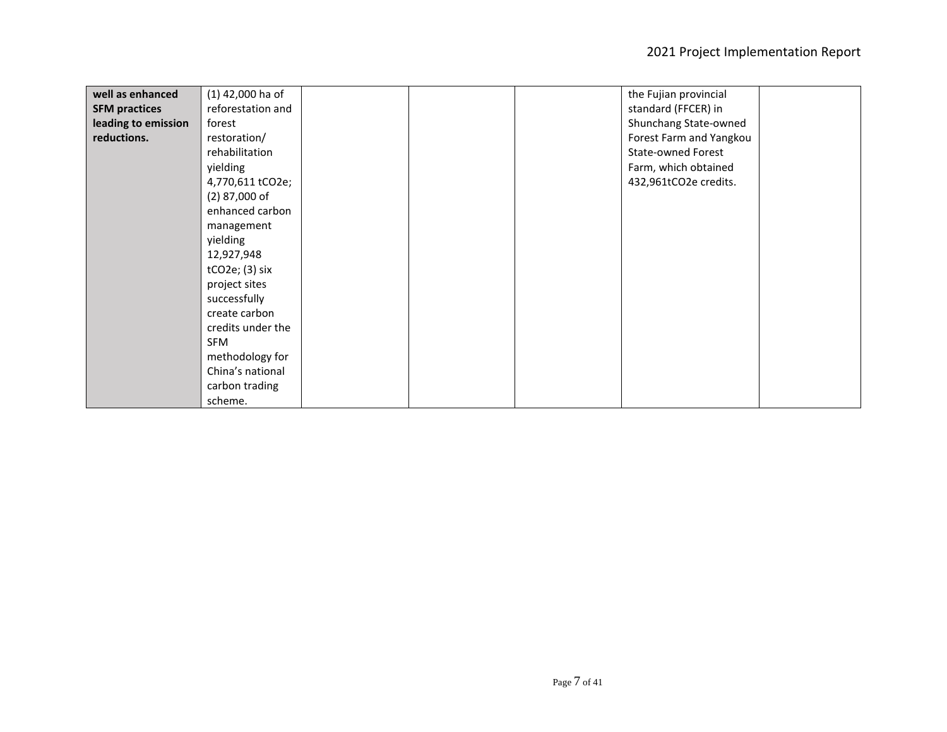| well as enhanced     | (1) 42,000 ha of  |  | the Fujian provincial     |  |
|----------------------|-------------------|--|---------------------------|--|
| <b>SFM practices</b> | reforestation and |  | standard (FFCER) in       |  |
| leading to emission  | forest            |  | Shunchang State-owned     |  |
| reductions.          | restoration/      |  | Forest Farm and Yangkou   |  |
|                      | rehabilitation    |  | <b>State-owned Forest</b> |  |
|                      | yielding          |  | Farm, which obtained      |  |
|                      | 4,770,611 tCO2e;  |  | 432,961tCO2e credits.     |  |
|                      | $(2)$ 87,000 of   |  |                           |  |
|                      | enhanced carbon   |  |                           |  |
|                      | management        |  |                           |  |
|                      | yielding          |  |                           |  |
|                      | 12,927,948        |  |                           |  |
|                      | $tCO2e$ ; (3) six |  |                           |  |
|                      | project sites     |  |                           |  |
|                      | successfully      |  |                           |  |
|                      | create carbon     |  |                           |  |
|                      | credits under the |  |                           |  |
|                      | SFM               |  |                           |  |
|                      | methodology for   |  |                           |  |
|                      | China's national  |  |                           |  |
|                      | carbon trading    |  |                           |  |
|                      | scheme.           |  |                           |  |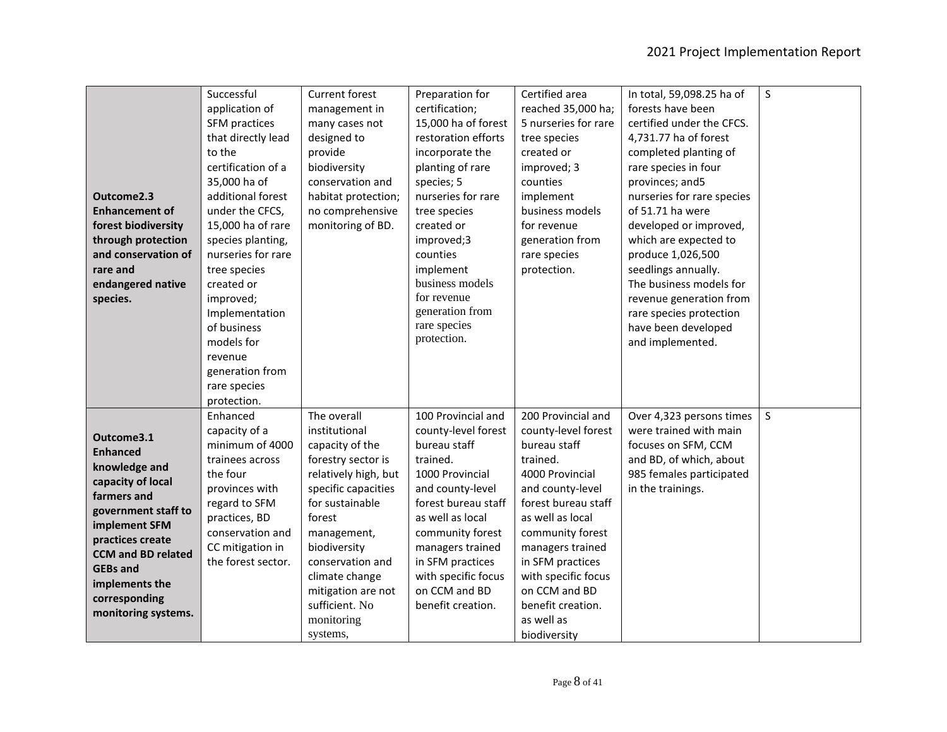|                           | Successful         | Current forest       | Preparation for     | Certified area       | In total, 59,098.25 ha of  | $\sf S$      |
|---------------------------|--------------------|----------------------|---------------------|----------------------|----------------------------|--------------|
|                           | application of     | management in        | certification;      | reached 35,000 ha;   | forests have been          |              |
|                           | SFM practices      | many cases not       | 15,000 ha of forest | 5 nurseries for rare | certified under the CFCS.  |              |
|                           | that directly lead | designed to          | restoration efforts | tree species         | 4,731.77 ha of forest      |              |
|                           | to the             | provide              | incorporate the     | created or           | completed planting of      |              |
|                           | certification of a | biodiversity         | planting of rare    | improved; 3          | rare species in four       |              |
|                           | 35,000 ha of       | conservation and     | species; 5          | counties             | provinces; and5            |              |
| Outcome2.3                | additional forest  | habitat protection;  | nurseries for rare  | implement            | nurseries for rare species |              |
| <b>Enhancement of</b>     | under the CFCS,    | no comprehensive     | tree species        | business models      | of 51.71 ha were           |              |
| forest biodiversity       | 15,000 ha of rare  | monitoring of BD.    | created or          | for revenue          | developed or improved,     |              |
| through protection        | species planting,  |                      | improved;3          | generation from      | which are expected to      |              |
| and conservation of       | nurseries for rare |                      | counties            | rare species         | produce 1,026,500          |              |
| rare and                  | tree species       |                      | implement           | protection.          | seedlings annually.        |              |
| endangered native         | created or         |                      | business models     |                      | The business models for    |              |
| species.                  | improved;          |                      | for revenue         |                      | revenue generation from    |              |
|                           | Implementation     |                      | generation from     |                      | rare species protection    |              |
|                           | of business        |                      | rare species        |                      | have been developed        |              |
|                           | models for         |                      | protection.         |                      | and implemented.           |              |
|                           | revenue            |                      |                     |                      |                            |              |
|                           | generation from    |                      |                     |                      |                            |              |
|                           | rare species       |                      |                     |                      |                            |              |
|                           | protection.        |                      |                     |                      |                            |              |
|                           | Enhanced           | The overall          | 100 Provincial and  | 200 Provincial and   | Over 4,323 persons times   | $\mathsf{S}$ |
| Outcome3.1                | capacity of a      | institutional        | county-level forest | county-level forest  | were trained with main     |              |
| <b>Enhanced</b>           | minimum of 4000    | capacity of the      | bureau staff        | bureau staff         | focuses on SFM, CCM        |              |
| knowledge and             | trainees across    | forestry sector is   | trained.            | trained.             | and BD, of which, about    |              |
| capacity of local         | the four           | relatively high, but | 1000 Provincial     | 4000 Provincial      | 985 females participated   |              |
| farmers and               | provinces with     | specific capacities  | and county-level    | and county-level     | in the trainings.          |              |
| government staff to       | regard to SFM      | for sustainable      | forest bureau staff | forest bureau staff  |                            |              |
| implement SFM             | practices, BD      | forest               | as well as local    | as well as local     |                            |              |
| practices create          | conservation and   | management,          | community forest    | community forest     |                            |              |
| <b>CCM and BD related</b> | CC mitigation in   | biodiversity         | managers trained    | managers trained     |                            |              |
| <b>GEBs and</b>           | the forest sector. | conservation and     | in SFM practices    | in SFM practices     |                            |              |
| implements the            |                    | climate change       | with specific focus | with specific focus  |                            |              |
| corresponding             |                    | mitigation are not   | on CCM and BD       | on CCM and BD        |                            |              |
| monitoring systems.       |                    | sufficient. No       | benefit creation.   | benefit creation.    |                            |              |
|                           |                    | monitoring           |                     | as well as           |                            |              |
|                           |                    | systems,             |                     | biodiversity         |                            |              |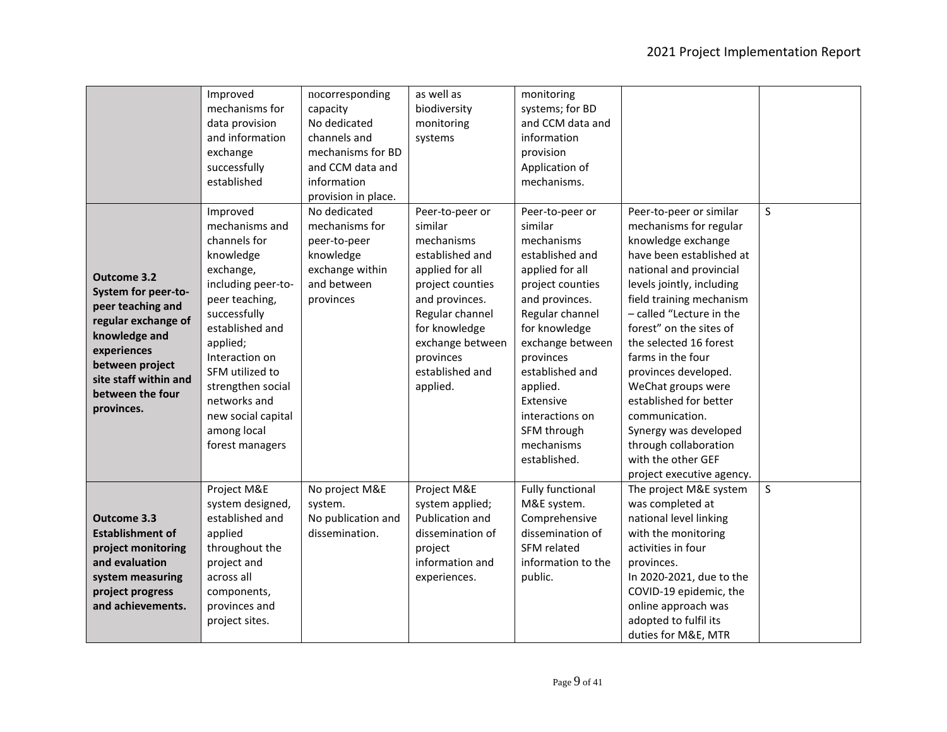|                                      | Improved<br>mechanisms for        | nocorresponding<br>capacity    | as well as<br>biodiversity        | monitoring<br>systems; for BD      |                                                      |              |
|--------------------------------------|-----------------------------------|--------------------------------|-----------------------------------|------------------------------------|------------------------------------------------------|--------------|
|                                      | data provision<br>and information | No dedicated<br>channels and   | monitoring<br>systems             | and CCM data and<br>information    |                                                      |              |
|                                      | exchange                          | mechanisms for BD              |                                   | provision                          |                                                      |              |
|                                      | successfully                      | and CCM data and               |                                   | Application of                     |                                                      |              |
|                                      | established                       | information                    |                                   | mechanisms.                        |                                                      |              |
|                                      |                                   | provision in place.            |                                   |                                    |                                                      |              |
|                                      | Improved                          | No dedicated                   | Peer-to-peer or                   | Peer-to-peer or                    | Peer-to-peer or similar                              | $\mathsf{S}$ |
|                                      | mechanisms and                    | mechanisms for                 | similar                           | similar                            | mechanisms for regular                               |              |
|                                      | channels for                      | peer-to-peer                   | mechanisms                        | mechanisms                         | knowledge exchange                                   |              |
|                                      | knowledge                         | knowledge                      | established and                   | established and                    | have been established at                             |              |
| Outcome 3.2                          | exchange,                         | exchange within<br>and between | applied for all                   | applied for all                    | national and provincial                              |              |
| System for peer-to-                  | including peer-to-                | provinces                      | project counties                  | project counties<br>and provinces. | levels jointly, including                            |              |
| peer teaching and                    | peer teaching,<br>successfully    |                                | and provinces.<br>Regular channel | Regular channel                    | field training mechanism<br>- called "Lecture in the |              |
| regular exchange of                  | established and                   |                                | for knowledge                     | for knowledge                      | forest" on the sites of                              |              |
| knowledge and                        | applied;                          |                                | exchange between                  | exchange between                   | the selected 16 forest                               |              |
| experiences                          | Interaction on                    |                                | provinces                         | provinces                          | farms in the four                                    |              |
| between project                      | SFM utilized to                   |                                | established and                   | established and                    | provinces developed.                                 |              |
| site staff within and                | strengthen social                 |                                | applied.                          | applied.                           | WeChat groups were                                   |              |
| between the four                     | networks and                      |                                |                                   | Extensive                          | established for better                               |              |
| provinces.                           | new social capital                |                                |                                   | interactions on                    | communication.                                       |              |
|                                      | among local                       |                                |                                   | SFM through                        | Synergy was developed                                |              |
|                                      | forest managers                   |                                |                                   | mechanisms                         | through collaboration                                |              |
|                                      |                                   |                                |                                   | established.                       | with the other GEF                                   |              |
|                                      |                                   |                                |                                   |                                    | project executive agency.                            |              |
|                                      | Project M&E                       | No project M&E                 | Project M&E                       | <b>Fully functional</b>            | The project M&E system                               | $\mathsf{S}$ |
|                                      | system designed,                  | system.                        | system applied;                   | M&E system.                        | was completed at                                     |              |
| <b>Outcome 3.3</b>                   | established and                   | No publication and             | Publication and                   | Comprehensive                      | national level linking                               |              |
| <b>Establishment of</b>              | applied                           | dissemination.                 | dissemination of                  | dissemination of                   | with the monitoring                                  |              |
| project monitoring<br>and evaluation | throughout the<br>project and     |                                | project<br>information and        | SFM related<br>information to the  | activities in four<br>provinces.                     |              |
| system measuring                     | across all                        |                                | experiences.                      | public.                            | In 2020-2021, due to the                             |              |
| project progress                     | components,                       |                                |                                   |                                    | COVID-19 epidemic, the                               |              |
| and achievements.                    | provinces and                     |                                |                                   |                                    | online approach was                                  |              |
|                                      | project sites.                    |                                |                                   |                                    | adopted to fulfil its                                |              |
|                                      |                                   |                                |                                   |                                    | duties for M&E, MTR                                  |              |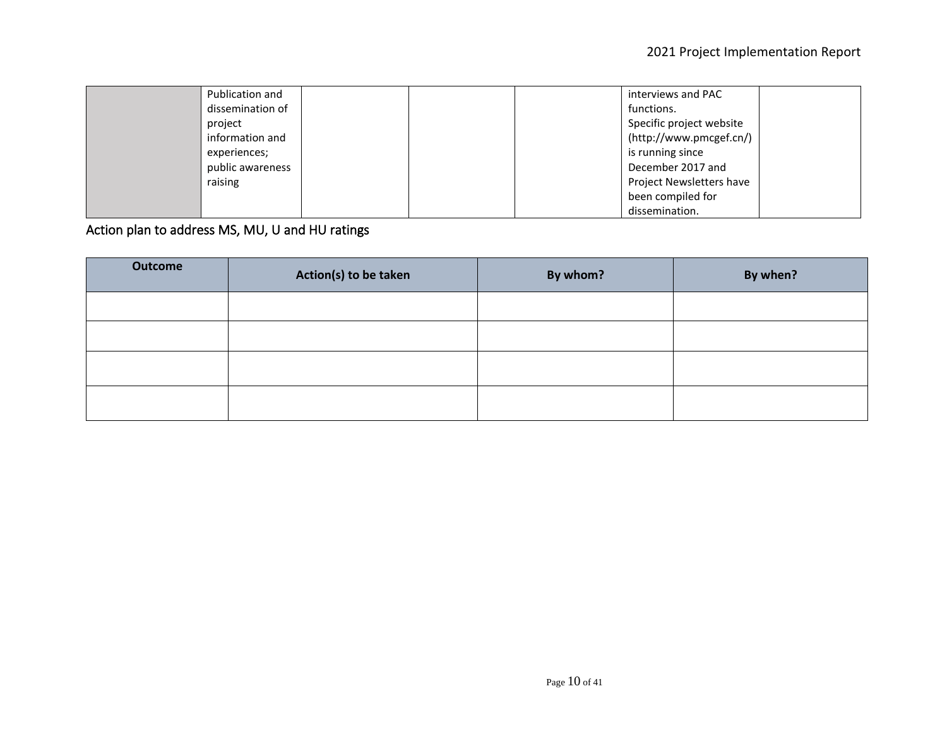| Publication and  |  | interviews and PAC       |
|------------------|--|--------------------------|
| dissemination of |  | functions.               |
| project          |  | Specific project website |
| information and  |  | (http://www.pmcgef.cn/)  |
| experiences;     |  | is running since         |
| public awareness |  | December 2017 and        |
| raising          |  | Project Newsletters have |
|                  |  | been compiled for        |
|                  |  | dissemination.           |

Action plan to address MS, MU, U and HU ratings

| Outcome | Action(s) to be taken | By whom? | By when? |
|---------|-----------------------|----------|----------|
|         |                       |          |          |
|         |                       |          |          |
|         |                       |          |          |
|         |                       |          |          |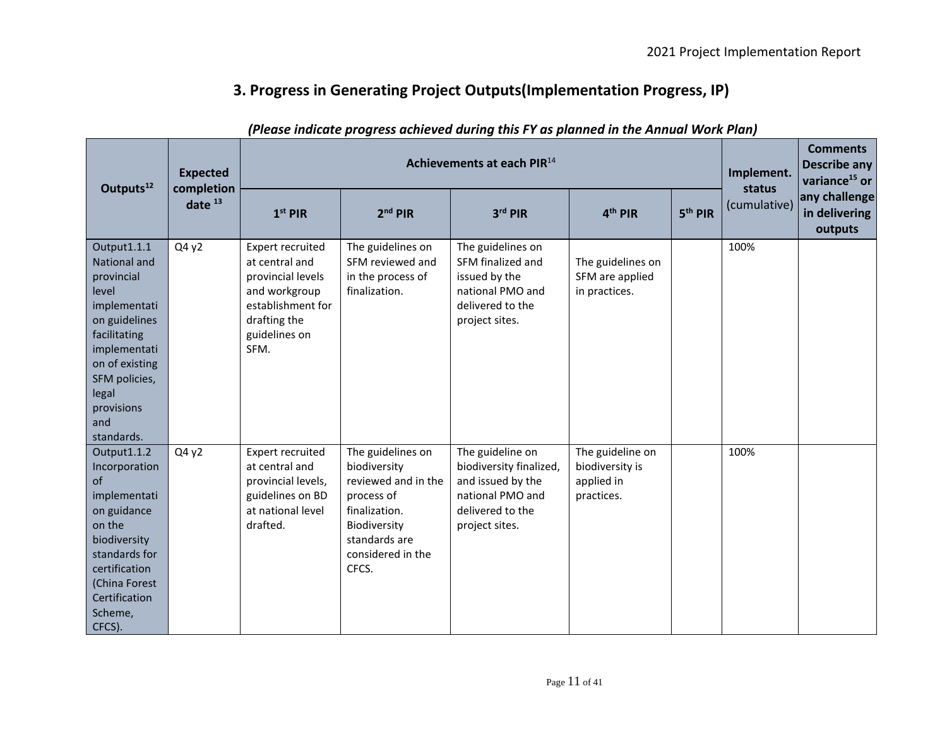# **3. Progress in Generating Project Outputs(Implementation Progress, IP)**

| Outputs <sup>12</sup>                                                                                                                                                                              | <b>Expected</b><br>completion<br>date $13$ | Achievements at each PIR <sup>14</sup>                                                                                                        |                                                                                                                                                        |                                                                                                                            |                                                                 |                     |                        | <b>Comments</b><br><b>Describe any</b><br>variance <sup>15</sup> or |
|----------------------------------------------------------------------------------------------------------------------------------------------------------------------------------------------------|--------------------------------------------|-----------------------------------------------------------------------------------------------------------------------------------------------|--------------------------------------------------------------------------------------------------------------------------------------------------------|----------------------------------------------------------------------------------------------------------------------------|-----------------------------------------------------------------|---------------------|------------------------|---------------------------------------------------------------------|
|                                                                                                                                                                                                    |                                            | $1st$ PIR                                                                                                                                     | $2nd$ PIR                                                                                                                                              | $3rd$ PIR                                                                                                                  | 4 <sup>th</sup> PIR                                             | 5 <sup>th</sup> PIR | status<br>(cumulative) | any challenge<br>in delivering<br>outputs                           |
| Output1.1.1<br>National and<br>provincial<br>level<br>implementati<br>on guidelines<br>facilitating<br>implementati<br>on of existing<br>SFM policies,<br>legal<br>provisions<br>and<br>standards. | Q4y2                                       | <b>Expert recruited</b><br>at central and<br>provincial levels<br>and workgroup<br>establishment for<br>drafting the<br>guidelines on<br>SFM. | The guidelines on<br>SFM reviewed and<br>in the process of<br>finalization.                                                                            | The guidelines on<br>SFM finalized and<br>issued by the<br>national PMO and<br>delivered to the<br>project sites.          | The guidelines on<br>SFM are applied<br>in practices.           |                     | 100%                   |                                                                     |
| Output1.1.2<br>Incorporation<br>of<br>implementati<br>on guidance<br>on the<br>biodiversity<br>standards for<br>certification<br>(China Forest<br>Certification<br>Scheme,<br>CFCS).               | Q4y2                                       | <b>Expert recruited</b><br>at central and<br>provincial levels,<br>guidelines on BD<br>at national level<br>drafted.                          | The guidelines on<br>biodiversity<br>reviewed and in the<br>process of<br>finalization.<br>Biodiversity<br>standards are<br>considered in the<br>CFCS. | The guideline on<br>biodiversity finalized,<br>and issued by the<br>national PMO and<br>delivered to the<br>project sites. | The guideline on<br>biodiversity is<br>applied in<br>practices. |                     | 100%                   |                                                                     |

## *(Please indicate progress achieved during this FY as planned in the Annual Work Plan)*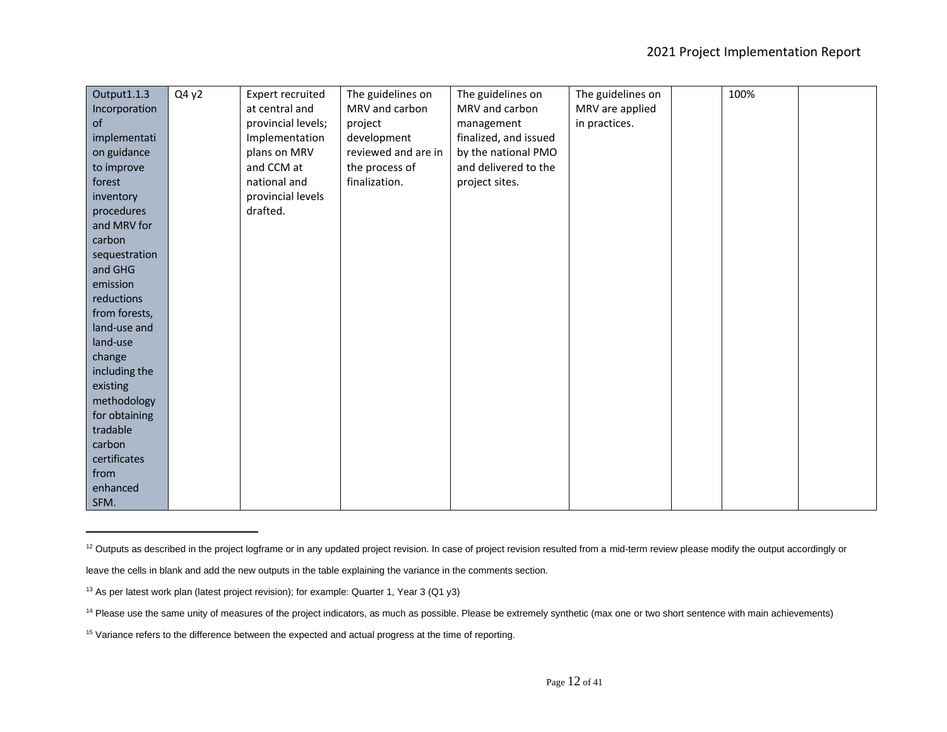| Output1.1.3   | Q4y2 | Expert recruited   | The guidelines on   | The guidelines on     | The guidelines on | 100% |  |
|---------------|------|--------------------|---------------------|-----------------------|-------------------|------|--|
| Incorporation |      | at central and     | MRV and carbon      | MRV and carbon        | MRV are applied   |      |  |
| of            |      | provincial levels; | project             | management            | in practices.     |      |  |
| implementati  |      | Implementation     | development         | finalized, and issued |                   |      |  |
| on guidance   |      | plans on MRV       | reviewed and are in | by the national PMO   |                   |      |  |
| to improve    |      | and CCM at         | the process of      | and delivered to the  |                   |      |  |
| forest        |      | national and       | finalization.       | project sites.        |                   |      |  |
| inventory     |      | provincial levels  |                     |                       |                   |      |  |
| procedures    |      | drafted.           |                     |                       |                   |      |  |
| and MRV for   |      |                    |                     |                       |                   |      |  |
| carbon        |      |                    |                     |                       |                   |      |  |
| sequestration |      |                    |                     |                       |                   |      |  |
| and GHG       |      |                    |                     |                       |                   |      |  |
| emission      |      |                    |                     |                       |                   |      |  |
| reductions    |      |                    |                     |                       |                   |      |  |
| from forests, |      |                    |                     |                       |                   |      |  |
| land-use and  |      |                    |                     |                       |                   |      |  |
| land-use      |      |                    |                     |                       |                   |      |  |
| change        |      |                    |                     |                       |                   |      |  |
| including the |      |                    |                     |                       |                   |      |  |
| existing      |      |                    |                     |                       |                   |      |  |
| methodology   |      |                    |                     |                       |                   |      |  |
| for obtaining |      |                    |                     |                       |                   |      |  |
| tradable      |      |                    |                     |                       |                   |      |  |
| carbon        |      |                    |                     |                       |                   |      |  |
| certificates  |      |                    |                     |                       |                   |      |  |
| from          |      |                    |                     |                       |                   |      |  |
| enhanced      |      |                    |                     |                       |                   |      |  |
| SFM.          |      |                    |                     |                       |                   |      |  |

<sup>&</sup>lt;sup>12</sup> Outputs as described in the project logframe or in any updated project revision. In case of project revision resulted from a mid-term review please modify the output accordingly or

leave the cells in blank and add the new outputs in the table explaining the variance in the comments section.

<sup>&</sup>lt;sup>13</sup> As per latest work plan (latest project revision); for example: Quarter 1, Year 3 (Q1 y3)

<sup>&</sup>lt;sup>14</sup> Please use the same unity of measures of the project indicators, as much as possible. Please be extremely synthetic (max one or two short sentence with main achievements)

<sup>&</sup>lt;sup>15</sup> Variance refers to the difference between the expected and actual progress at the time of reporting.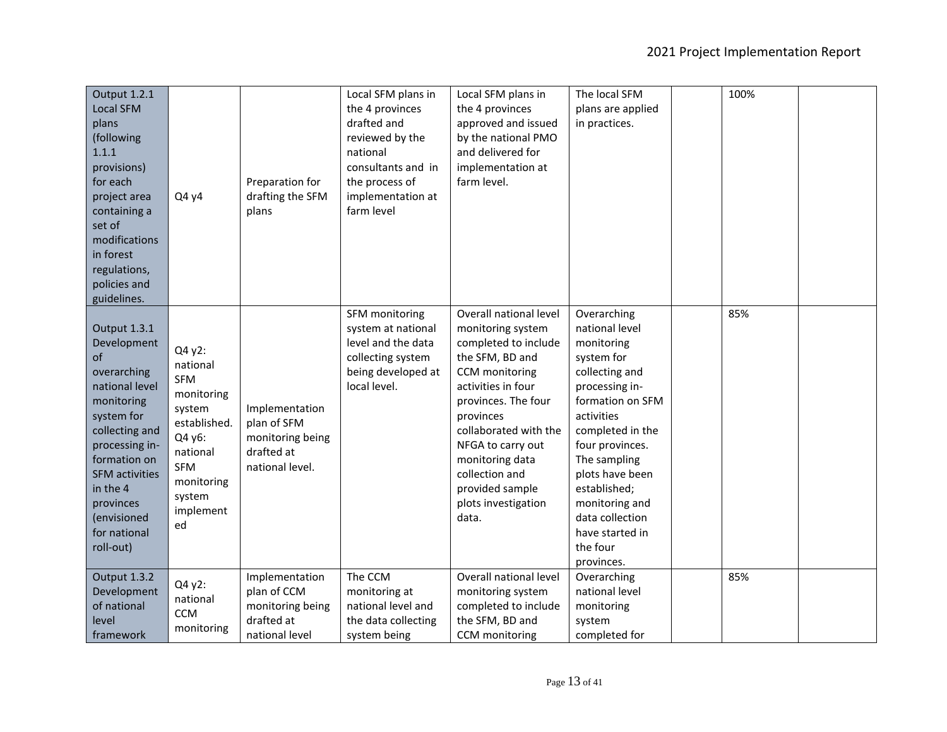| Output 1.2.1<br><b>Local SFM</b><br>plans<br>(following<br>1.1.1<br>provisions)<br>for each<br>project area<br>containing a<br>set of<br>modifications<br>in forest<br>regulations,<br>policies and<br>guidelines.                               | Q4 y4                                                                                                                                                   | Preparation for<br>drafting the SFM<br>plans                                       | Local SFM plans in<br>the 4 provinces<br>drafted and<br>reviewed by the<br>national<br>consultants and in<br>the process of<br>implementation at<br>farm level | Local SFM plans in<br>the 4 provinces<br>approved and issued<br>by the national PMO<br>and delivered for<br>implementation at<br>farm level.                                                                                                                                                             | The local SFM<br>plans are applied<br>in practices.                                                                                                                                                                                                                                                         | 100% |  |
|--------------------------------------------------------------------------------------------------------------------------------------------------------------------------------------------------------------------------------------------------|---------------------------------------------------------------------------------------------------------------------------------------------------------|------------------------------------------------------------------------------------|----------------------------------------------------------------------------------------------------------------------------------------------------------------|----------------------------------------------------------------------------------------------------------------------------------------------------------------------------------------------------------------------------------------------------------------------------------------------------------|-------------------------------------------------------------------------------------------------------------------------------------------------------------------------------------------------------------------------------------------------------------------------------------------------------------|------|--|
| Output 1.3.1<br>Development<br>of<br>overarching<br>national level<br>monitoring<br>system for<br>collecting and<br>processing in-<br>formation on<br><b>SFM</b> activities<br>in the 4<br>provinces<br>(envisioned<br>for national<br>roll-out) | Q4 y2:<br>national<br><b>SFM</b><br>monitoring<br>system<br>established.<br>Q4 y6:<br>national<br><b>SFM</b><br>monitoring<br>system<br>implement<br>ed | Implementation<br>plan of SFM<br>monitoring being<br>drafted at<br>national level. | SFM monitoring<br>system at national<br>level and the data<br>collecting system<br>being developed at<br>local level.                                          | Overall national level<br>monitoring system<br>completed to include<br>the SFM, BD and<br>CCM monitoring<br>activities in four<br>provinces. The four<br>provinces<br>collaborated with the<br>NFGA to carry out<br>monitoring data<br>collection and<br>provided sample<br>plots investigation<br>data. | Overarching<br>national level<br>monitoring<br>system for<br>collecting and<br>processing in-<br>formation on SFM<br>activities<br>completed in the<br>four provinces.<br>The sampling<br>plots have been<br>established;<br>monitoring and<br>data collection<br>have started in<br>the four<br>provinces. | 85%  |  |
| Output 1.3.2<br>Development<br>of national<br>level<br>framework                                                                                                                                                                                 | Q4 y2:<br>national<br><b>CCM</b><br>monitoring                                                                                                          | Implementation<br>plan of CCM<br>monitoring being<br>drafted at<br>national level  | The CCM<br>monitoring at<br>national level and<br>the data collecting<br>system being                                                                          | Overall national level<br>monitoring system<br>completed to include<br>the SFM, BD and<br>CCM monitoring                                                                                                                                                                                                 | Overarching<br>national level<br>monitoring<br>system<br>completed for                                                                                                                                                                                                                                      | 85%  |  |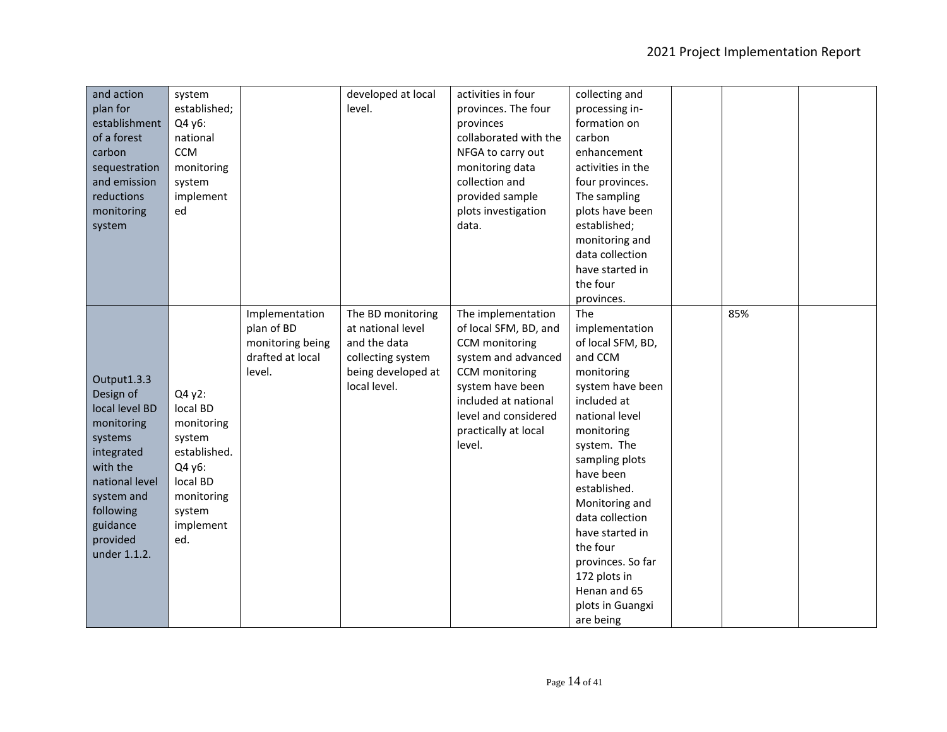| and action     | system             |                  | developed at local | activities in four    | collecting and    |     |  |
|----------------|--------------------|------------------|--------------------|-----------------------|-------------------|-----|--|
| plan for       | established;       |                  | level.             | provinces. The four   | processing in-    |     |  |
| establishment  | Q4 y6:             |                  |                    | provinces             | formation on      |     |  |
| of a forest    | national           |                  |                    | collaborated with the | carbon            |     |  |
| carbon         | <b>CCM</b>         |                  |                    | NFGA to carry out     | enhancement       |     |  |
| sequestration  | monitoring         |                  |                    | monitoring data       | activities in the |     |  |
| and emission   | system             |                  |                    | collection and        | four provinces.   |     |  |
| reductions     | implement          |                  |                    | provided sample       | The sampling      |     |  |
| monitoring     | ed                 |                  |                    | plots investigation   | plots have been   |     |  |
| system         |                    |                  |                    | data.                 | established;      |     |  |
|                |                    |                  |                    |                       | monitoring and    |     |  |
|                |                    |                  |                    |                       | data collection   |     |  |
|                |                    |                  |                    |                       | have started in   |     |  |
|                |                    |                  |                    |                       | the four          |     |  |
|                |                    |                  |                    |                       | provinces.        |     |  |
|                |                    | Implementation   | The BD monitoring  | The implementation    | The               | 85% |  |
|                |                    | plan of BD       | at national level  | of local SFM, BD, and | implementation    |     |  |
|                |                    | monitoring being | and the data       | CCM monitoring        | of local SFM, BD, |     |  |
|                |                    | drafted at local | collecting system  | system and advanced   | and CCM           |     |  |
| Output1.3.3    |                    | level.           | being developed at | CCM monitoring        | monitoring        |     |  |
|                |                    |                  | local level.       | system have been      | system have been  |     |  |
| Design of      | Q4 y2:<br>local BD |                  |                    | included at national  | included at       |     |  |
| local level BD |                    |                  |                    | level and considered  | national level    |     |  |
| monitoring     | monitoring         |                  |                    | practically at local  | monitoring        |     |  |
| systems        | system             |                  |                    | level.                | system. The       |     |  |
| integrated     | established.       |                  |                    |                       | sampling plots    |     |  |
| with the       | Q4 y6:             |                  |                    |                       | have been         |     |  |
| national level | local BD           |                  |                    |                       | established.      |     |  |
| system and     | monitoring         |                  |                    |                       | Monitoring and    |     |  |
| following      | system             |                  |                    |                       | data collection   |     |  |
| guidance       | implement          |                  |                    |                       | have started in   |     |  |
| provided       | ed.                |                  |                    |                       | the four          |     |  |
| under 1.1.2.   |                    |                  |                    |                       | provinces. So far |     |  |
|                |                    |                  |                    |                       | 172 plots in      |     |  |
|                |                    |                  |                    |                       | Henan and 65      |     |  |
|                |                    |                  |                    |                       | plots in Guangxi  |     |  |
|                |                    |                  |                    |                       | are being         |     |  |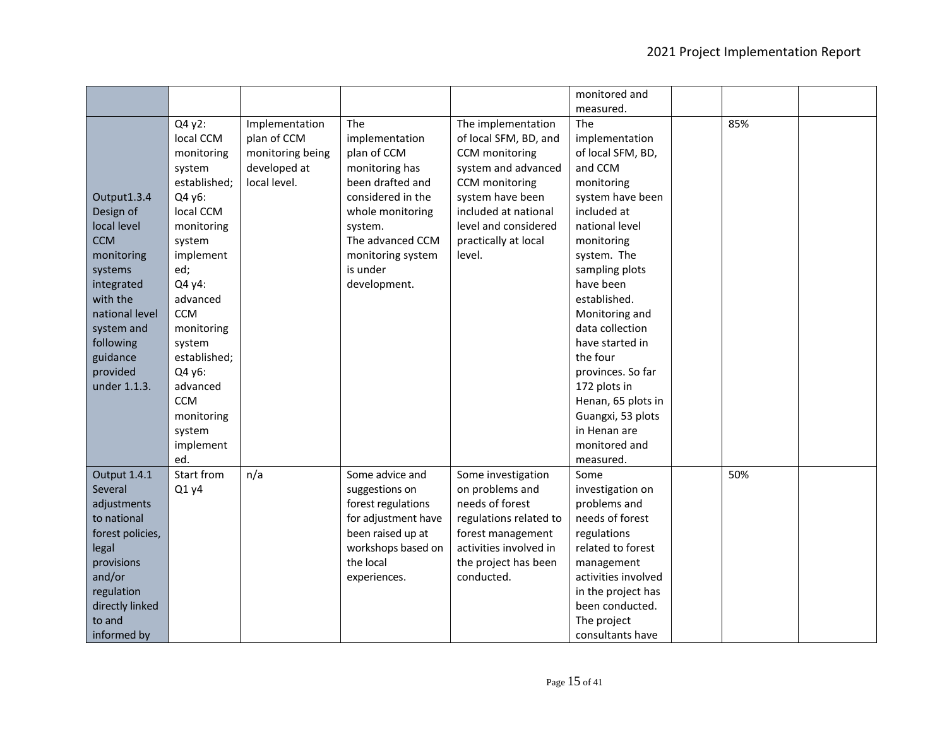|                  |              |                  |                     |                        | monitored and       |     |  |
|------------------|--------------|------------------|---------------------|------------------------|---------------------|-----|--|
|                  |              |                  |                     |                        | measured.           |     |  |
|                  | Q4 y2:       | Implementation   | The                 | The implementation     | The                 | 85% |  |
|                  | local CCM    | plan of CCM      | implementation      | of local SFM, BD, and  | implementation      |     |  |
|                  | monitoring   | monitoring being | plan of CCM         | CCM monitoring         | of local SFM, BD,   |     |  |
|                  | system       | developed at     | monitoring has      | system and advanced    | and CCM             |     |  |
|                  | established; | local level.     | been drafted and    | CCM monitoring         | monitoring          |     |  |
| Output1.3.4      | Q4 y6:       |                  | considered in the   | system have been       | system have been    |     |  |
| Design of        | local CCM    |                  | whole monitoring    | included at national   | included at         |     |  |
| local level      | monitoring   |                  | system.             | level and considered   | national level      |     |  |
| <b>CCM</b>       | system       |                  | The advanced CCM    | practically at local   | monitoring          |     |  |
| monitoring       | implement    |                  | monitoring system   | level.                 | system. The         |     |  |
| systems          | ed;          |                  | is under            |                        | sampling plots      |     |  |
| integrated       | Q4 y4:       |                  | development.        |                        | have been           |     |  |
| with the         | advanced     |                  |                     |                        | established.        |     |  |
| national level   | <b>CCM</b>   |                  |                     |                        | Monitoring and      |     |  |
| system and       | monitoring   |                  |                     |                        | data collection     |     |  |
| following        | system       |                  |                     |                        | have started in     |     |  |
| guidance         | established; |                  |                     |                        | the four            |     |  |
| provided         | Q4 y6:       |                  |                     |                        | provinces. So far   |     |  |
| under 1.1.3.     | advanced     |                  |                     |                        | 172 plots in        |     |  |
|                  | <b>CCM</b>   |                  |                     |                        | Henan, 65 plots in  |     |  |
|                  | monitoring   |                  |                     |                        | Guangxi, 53 plots   |     |  |
|                  | system       |                  |                     |                        | in Henan are        |     |  |
|                  | implement    |                  |                     |                        | monitored and       |     |  |
|                  | ed.          |                  |                     |                        | measured.           |     |  |
| Output 1.4.1     | Start from   | n/a              | Some advice and     | Some investigation     | Some                | 50% |  |
| Several          | Q1 y4        |                  | suggestions on      | on problems and        | investigation on    |     |  |
| adjustments      |              |                  | forest regulations  | needs of forest        | problems and        |     |  |
| to national      |              |                  | for adjustment have | regulations related to | needs of forest     |     |  |
| forest policies, |              |                  | been raised up at   | forest management      | regulations         |     |  |
| legal            |              |                  | workshops based on  | activities involved in | related to forest   |     |  |
| provisions       |              |                  | the local           | the project has been   | management          |     |  |
| and/or           |              |                  | experiences.        | conducted.             | activities involved |     |  |
| regulation       |              |                  |                     |                        | in the project has  |     |  |
| directly linked  |              |                  |                     |                        | been conducted.     |     |  |
| to and           |              |                  |                     |                        | The project         |     |  |
| informed by      |              |                  |                     |                        | consultants have    |     |  |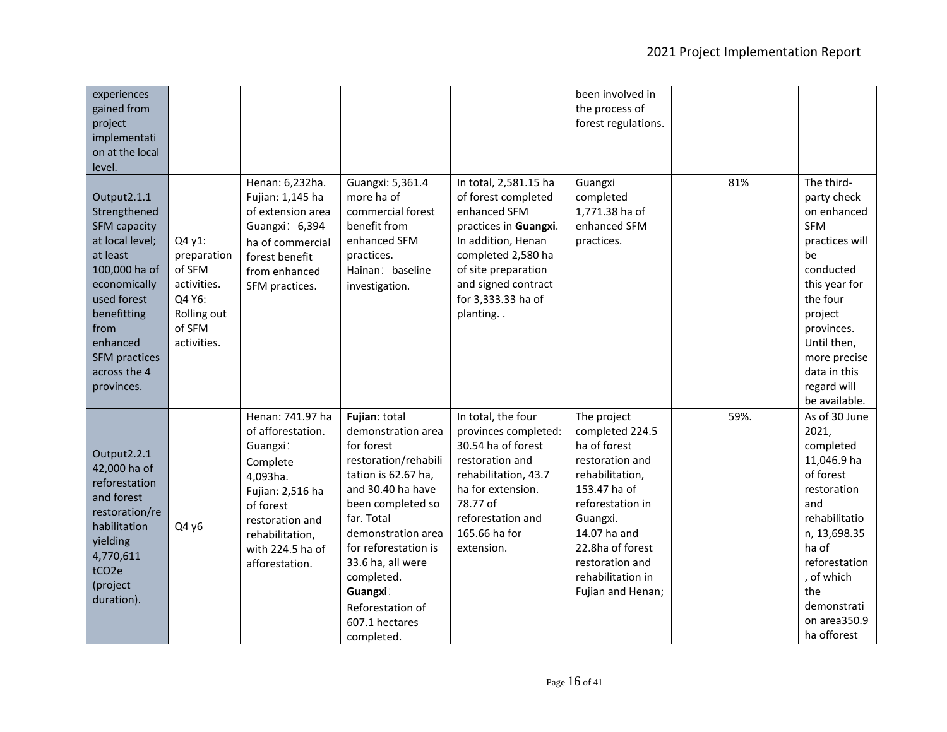| experiences<br>gained from<br>project<br>implementati<br>on at the local<br>level.                                                                                                                                         |                                                                                                  |                                                                                                                                                                                        |                                                                                                                                                                                                                                                                                                           |                                                                                                                                                                                                                   | been involved in<br>the process of<br>forest regulations.                                                                                                                                                                             |      |                                                                                                                                                                                                                                  |
|----------------------------------------------------------------------------------------------------------------------------------------------------------------------------------------------------------------------------|--------------------------------------------------------------------------------------------------|----------------------------------------------------------------------------------------------------------------------------------------------------------------------------------------|-----------------------------------------------------------------------------------------------------------------------------------------------------------------------------------------------------------------------------------------------------------------------------------------------------------|-------------------------------------------------------------------------------------------------------------------------------------------------------------------------------------------------------------------|---------------------------------------------------------------------------------------------------------------------------------------------------------------------------------------------------------------------------------------|------|----------------------------------------------------------------------------------------------------------------------------------------------------------------------------------------------------------------------------------|
| Output2.1.1<br>Strengthened<br><b>SFM capacity</b><br>at local level;<br>at least<br>100,000 ha of<br>economically<br>used forest<br>benefitting<br>from<br>enhanced<br><b>SFM</b> practices<br>across the 4<br>provinces. | Q4 y1:<br>preparation<br>of SFM<br>activities.<br>Q4 Y6:<br>Rolling out<br>of SFM<br>activities. | Henan: 6,232ha.<br>Fujian: 1,145 ha<br>of extension area<br>Guangxi: 6,394<br>ha of commercial<br>forest benefit<br>from enhanced<br>SFM practices.                                    | Guangxi: 5,361.4<br>more ha of<br>commercial forest<br>benefit from<br>enhanced SFM<br>practices.<br>Hainan: baseline<br>investigation.                                                                                                                                                                   | In total, 2,581.15 ha<br>of forest completed<br>enhanced SFM<br>practices in Guangxi.<br>In addition, Henan<br>completed 2,580 ha<br>of site preparation<br>and signed contract<br>for 3,333.33 ha of<br>planting | Guangxi<br>completed<br>1,771.38 ha of<br>enhanced SFM<br>practices.                                                                                                                                                                  | 81%  | The third-<br>party check<br>on enhanced<br><b>SFM</b><br>practices will<br>be<br>conducted<br>this year for<br>the four<br>project<br>provinces.<br>Until then,<br>more precise<br>data in this<br>regard will<br>be available. |
| Output2.2.1<br>42,000 ha of<br>reforestation<br>and forest<br>restoration/re<br>habilitation<br>yielding<br>4,770,611<br>tCO <sub>2e</sub><br>(project<br>duration).                                                       | Q4 y6                                                                                            | Henan: 741.97 ha<br>of afforestation.<br>Guangxi:<br>Complete<br>4,093ha.<br>Fujian: 2,516 ha<br>of forest<br>restoration and<br>rehabilitation,<br>with 224.5 ha of<br>afforestation. | Fujian: total<br>demonstration area<br>for forest<br>restoration/rehabili<br>tation is 62.67 ha,<br>and 30.40 ha have<br>been completed so<br>far. Total<br>demonstration area<br>for reforestation is<br>33.6 ha, all were<br>completed.<br>Guangxi:<br>Reforestation of<br>607.1 hectares<br>completed. | In total, the four<br>provinces completed:<br>30.54 ha of forest<br>restoration and<br>rehabilitation, 43.7<br>ha for extension.<br>78.77 of<br>reforestation and<br>165.66 ha for<br>extension.                  | The project<br>completed 224.5<br>ha of forest<br>restoration and<br>rehabilitation,<br>153.47 ha of<br>reforestation in<br>Guangxi.<br>14.07 ha and<br>22.8ha of forest<br>restoration and<br>rehabilitation in<br>Fujian and Henan; | 59%. | As of 30 June<br>2021,<br>completed<br>11,046.9 ha<br>of forest<br>restoration<br>and<br>rehabilitatio<br>n, 13,698.35<br>ha of<br>reforestation<br>, of which<br>the<br>demonstrati<br>on area350.9<br>ha offorest              |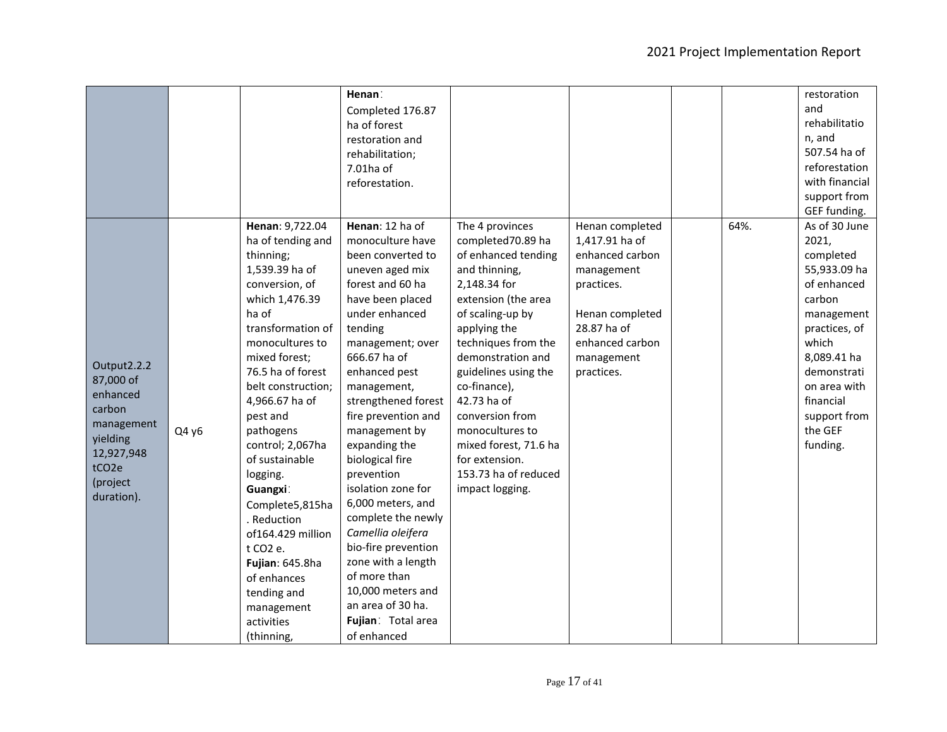|                                                                                                                                       |       |                                                                                                                                                                                                                                                                                                                                                                                                                                                                                             | Henan:<br>Completed 176.87<br>ha of forest<br>restoration and<br>rehabilitation;<br>7.01ha of<br>reforestation.                                                                                                                                                                                                                                                                                                                                                                                                                                                         |                                                                                                                                                                                                                                                                                                                                                                                        |                                                                                                                                                                   |      | restoration<br>and<br>rehabilitatio<br>n, and<br>507.54 ha of<br>reforestation<br>with financial<br>support from<br>GEF funding.                                                                                       |
|---------------------------------------------------------------------------------------------------------------------------------------|-------|---------------------------------------------------------------------------------------------------------------------------------------------------------------------------------------------------------------------------------------------------------------------------------------------------------------------------------------------------------------------------------------------------------------------------------------------------------------------------------------------|-------------------------------------------------------------------------------------------------------------------------------------------------------------------------------------------------------------------------------------------------------------------------------------------------------------------------------------------------------------------------------------------------------------------------------------------------------------------------------------------------------------------------------------------------------------------------|----------------------------------------------------------------------------------------------------------------------------------------------------------------------------------------------------------------------------------------------------------------------------------------------------------------------------------------------------------------------------------------|-------------------------------------------------------------------------------------------------------------------------------------------------------------------|------|------------------------------------------------------------------------------------------------------------------------------------------------------------------------------------------------------------------------|
| Output2.2.2<br>87,000 of<br>enhanced<br>carbon<br>management<br>yielding<br>12,927,948<br>tCO <sub>2e</sub><br>(project<br>duration). | Q4 y6 | Henan: 9,722.04<br>ha of tending and<br>thinning;<br>1,539.39 ha of<br>conversion, of<br>which 1,476.39<br>ha of<br>transformation of<br>monocultures to<br>mixed forest;<br>76.5 ha of forest<br>belt construction;<br>4,966.67 ha of<br>pest and<br>pathogens<br>control; 2,067ha<br>of sustainable<br>logging.<br>Guangxi:<br>Complete5,815ha<br>. Reduction<br>of164.429 million<br>t CO2 e.<br>Fujian: 645.8ha<br>of enhances<br>tending and<br>management<br>activities<br>(thinning, | Henan: 12 ha of<br>monoculture have<br>been converted to<br>uneven aged mix<br>forest and 60 ha<br>have been placed<br>under enhanced<br>tending<br>management; over<br>666.67 ha of<br>enhanced pest<br>management,<br>strengthened forest<br>fire prevention and<br>management by<br>expanding the<br>biological fire<br>prevention<br>isolation zone for<br>6,000 meters, and<br>complete the newly<br>Camellia oleifera<br>bio-fire prevention<br>zone with a length<br>of more than<br>10,000 meters and<br>an area of 30 ha.<br>Fujian: Total area<br>of enhanced | The 4 provinces<br>completed70.89 ha<br>of enhanced tending<br>and thinning,<br>2,148.34 for<br>extension (the area<br>of scaling-up by<br>applying the<br>techniques from the<br>demonstration and<br>guidelines using the<br>co-finance),<br>42.73 ha of<br>conversion from<br>monocultures to<br>mixed forest, 71.6 ha<br>for extension.<br>153.73 ha of reduced<br>impact logging. | Henan completed<br>1,417.91 ha of<br>enhanced carbon<br>management<br>practices.<br>Henan completed<br>28.87 ha of<br>enhanced carbon<br>management<br>practices. | 64%. | As of 30 June<br>2021,<br>completed<br>55,933.09 ha<br>of enhanced<br>carbon<br>management<br>practices, of<br>which<br>8,089.41 ha<br>demonstrati<br>on area with<br>financial<br>support from<br>the GEF<br>funding. |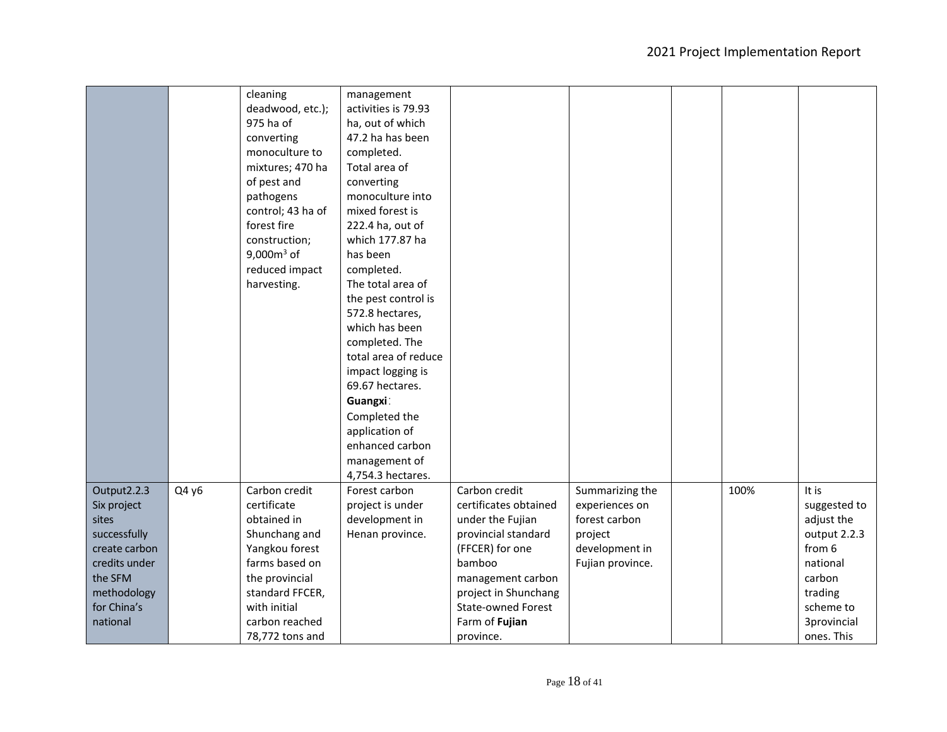|               |       | cleaning<br>deadwood, etc.); | management<br>activities is 79.93 |                           |                  |      |              |
|---------------|-------|------------------------------|-----------------------------------|---------------------------|------------------|------|--------------|
|               |       | 975 ha of                    | ha, out of which                  |                           |                  |      |              |
|               |       | converting                   | 47.2 ha has been                  |                           |                  |      |              |
|               |       | monoculture to               | completed.                        |                           |                  |      |              |
|               |       | mixtures; 470 ha             | Total area of                     |                           |                  |      |              |
|               |       | of pest and                  | converting                        |                           |                  |      |              |
|               |       | pathogens                    | monoculture into                  |                           |                  |      |              |
|               |       | control; 43 ha of            | mixed forest is                   |                           |                  |      |              |
|               |       | forest fire                  | 222.4 ha, out of                  |                           |                  |      |              |
|               |       | construction;                | which 177.87 ha                   |                           |                  |      |              |
|               |       | 9,000 $m3$ of                | has been                          |                           |                  |      |              |
|               |       | reduced impact               | completed.                        |                           |                  |      |              |
|               |       | harvesting.                  | The total area of                 |                           |                  |      |              |
|               |       |                              | the pest control is               |                           |                  |      |              |
|               |       |                              | 572.8 hectares,                   |                           |                  |      |              |
|               |       |                              | which has been                    |                           |                  |      |              |
|               |       |                              | completed. The                    |                           |                  |      |              |
|               |       |                              | total area of reduce              |                           |                  |      |              |
|               |       |                              | impact logging is                 |                           |                  |      |              |
|               |       |                              | 69.67 hectares.                   |                           |                  |      |              |
|               |       |                              | Guangxi:                          |                           |                  |      |              |
|               |       |                              | Completed the                     |                           |                  |      |              |
|               |       |                              | application of                    |                           |                  |      |              |
|               |       |                              | enhanced carbon                   |                           |                  |      |              |
|               |       |                              | management of                     |                           |                  |      |              |
|               |       |                              | 4,754.3 hectares.                 |                           |                  |      |              |
| Output2.2.3   | Q4 y6 | Carbon credit                | Forest carbon                     | Carbon credit             | Summarizing the  | 100% | It is        |
| Six project   |       | certificate                  | project is under                  | certificates obtained     | experiences on   |      | suggested to |
| sites         |       | obtained in                  | development in                    | under the Fujian          | forest carbon    |      | adjust the   |
| successfully  |       | Shunchang and                | Henan province.                   | provincial standard       | project          |      | output 2.2.3 |
| create carbon |       | Yangkou forest               |                                   | (FFCER) for one           | development in   |      | from 6       |
| credits under |       | farms based on               |                                   | bamboo                    | Fujian province. |      | national     |
| the SFM       |       | the provincial               |                                   | management carbon         |                  |      | carbon       |
| methodology   |       | standard FFCER,              |                                   | project in Shunchang      |                  |      | trading      |
| for China's   |       | with initial                 |                                   | <b>State-owned Forest</b> |                  |      | scheme to    |
| national      |       | carbon reached               |                                   | Farm of Fujian            |                  |      | 3provincial  |
|               |       | 78,772 tons and              |                                   | province.                 |                  |      | ones. This   |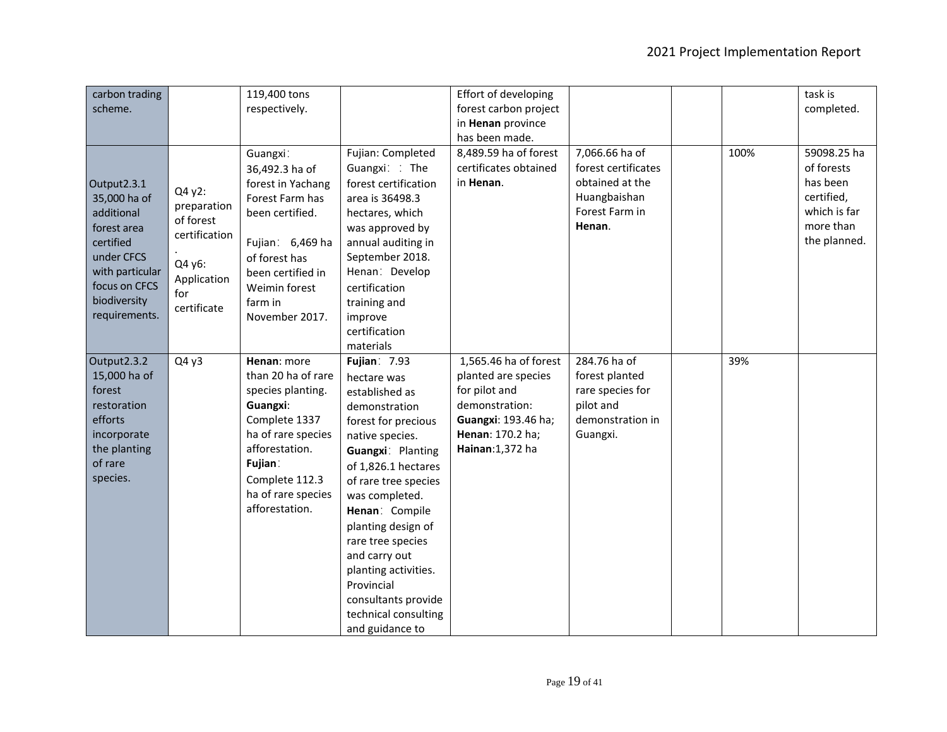| carbon trading<br>scheme.                                                                                                                                |                                                                                                    | 119,400 tons<br>respectively.                                                                                                                                                                    |                                                                                                                                                                                                                                                                                                                                                                                             | Effort of developing<br>forest carbon project<br>in Henan province<br>has been made.                                                           |                                                                                                      |      | task is<br>completed.                                                                            |
|----------------------------------------------------------------------------------------------------------------------------------------------------------|----------------------------------------------------------------------------------------------------|--------------------------------------------------------------------------------------------------------------------------------------------------------------------------------------------------|---------------------------------------------------------------------------------------------------------------------------------------------------------------------------------------------------------------------------------------------------------------------------------------------------------------------------------------------------------------------------------------------|------------------------------------------------------------------------------------------------------------------------------------------------|------------------------------------------------------------------------------------------------------|------|--------------------------------------------------------------------------------------------------|
| Output2.3.1<br>35,000 ha of<br>additional<br>forest area<br>certified<br>under CFCS<br>with particular<br>focus on CFCS<br>biodiversity<br>requirements. | Q4 y2:<br>preparation<br>of forest<br>certification<br>Q4 y6:<br>Application<br>for<br>certificate | Guangxi:<br>36,492.3 ha of<br>forest in Yachang<br>Forest Farm has<br>been certified.<br>Fujian: 6,469 ha<br>of forest has<br>been certified in<br>Weimin forest<br>farm in<br>November 2017.    | Fujian: Completed<br>Guangxi: : The<br>forest certification<br>area is 36498.3<br>hectares, which<br>was approved by<br>annual auditing in<br>September 2018.<br>Henan: Develop<br>certification<br>training and<br>improve<br>certification<br>materials                                                                                                                                   | 8,489.59 ha of forest<br>certificates obtained<br>in Henan.                                                                                    | 7,066.66 ha of<br>forest certificates<br>obtained at the<br>Huangbaishan<br>Forest Farm in<br>Henan. | 100% | 59098.25 ha<br>of forests<br>has been<br>certified,<br>which is far<br>more than<br>the planned. |
| Output2.3.2<br>15,000 ha of<br>forest<br>restoration<br>efforts<br>incorporate<br>the planting<br>of rare<br>species.                                    | Q4y3                                                                                               | Henan: more<br>than 20 ha of rare<br>species planting.<br>Guangxi:<br>Complete 1337<br>ha of rare species<br>afforestation.<br>Fujian:<br>Complete 112.3<br>ha of rare species<br>afforestation. | <b>Fujian: 7.93</b><br>hectare was<br>established as<br>demonstration<br>forest for precious<br>native species.<br>Guangxi: Planting<br>of 1,826.1 hectares<br>of rare tree species<br>was completed.<br>Henan: Compile<br>planting design of<br>rare tree species<br>and carry out<br>planting activities.<br>Provincial<br>consultants provide<br>technical consulting<br>and guidance to | 1,565.46 ha of forest<br>planted are species<br>for pilot and<br>demonstration:<br>Guangxi: 193.46 ha;<br>Henan: 170.2 ha;<br>Hainan: 1,372 ha | 284.76 ha of<br>forest planted<br>rare species for<br>pilot and<br>demonstration in<br>Guangxi.      | 39%  |                                                                                                  |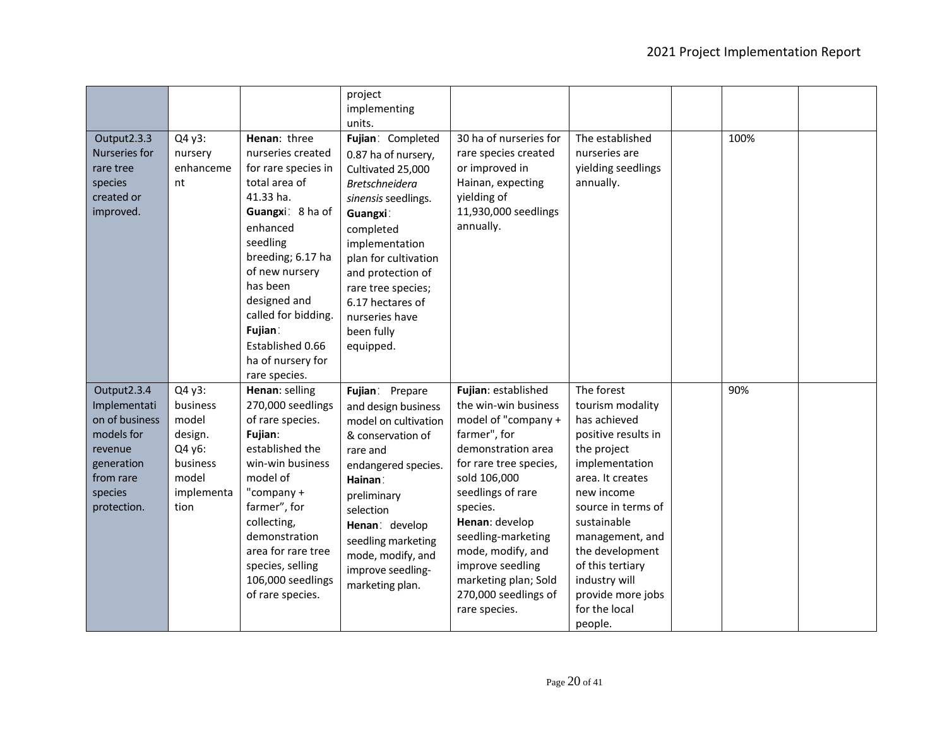|                                                                                                                             |                                                                                             |                                                                                                                                                                                                                                                                                                   | project<br>implementing<br>units.                                                                                                                                                                                                                                                            |                                                                                                                                                                                                                                                                                                                                       |                                                                                                                                                                                                                                                                                                           |      |  |
|-----------------------------------------------------------------------------------------------------------------------------|---------------------------------------------------------------------------------------------|---------------------------------------------------------------------------------------------------------------------------------------------------------------------------------------------------------------------------------------------------------------------------------------------------|----------------------------------------------------------------------------------------------------------------------------------------------------------------------------------------------------------------------------------------------------------------------------------------------|---------------------------------------------------------------------------------------------------------------------------------------------------------------------------------------------------------------------------------------------------------------------------------------------------------------------------------------|-----------------------------------------------------------------------------------------------------------------------------------------------------------------------------------------------------------------------------------------------------------------------------------------------------------|------|--|
| Output2.3.3<br>Nurseries for<br>rare tree<br>species<br>created or<br>improved.                                             | Q4 y3:<br>nursery<br>enhanceme<br>nt                                                        | Henan: three<br>nurseries created<br>for rare species in<br>total area of<br>41.33 ha.<br>Guangxi: 8 ha of<br>enhanced<br>seedling<br>breeding; 6.17 ha<br>of new nursery<br>has been<br>designed and<br>called for bidding.<br>Fujian:<br>Established 0.66<br>ha of nursery for<br>rare species. | Fujian: Completed<br>0.87 ha of nursery,<br>Cultivated 25,000<br><b>Bretschneidera</b><br>sinensis seedlings.<br>Guangxi:<br>completed<br>implementation<br>plan for cultivation<br>and protection of<br>rare tree species;<br>6.17 hectares of<br>nurseries have<br>been fully<br>equipped. | 30 ha of nurseries for<br>rare species created<br>or improved in<br>Hainan, expecting<br>yielding of<br>11,930,000 seedlings<br>annually.                                                                                                                                                                                             | The established<br>nurseries are<br>yielding seedlings<br>annually.                                                                                                                                                                                                                                       | 100% |  |
| Output2.3.4<br>Implementati<br>on of business<br>models for<br>revenue<br>generation<br>from rare<br>species<br>protection. | Q4 y3:<br>business<br>model<br>design.<br>Q4 y6:<br>business<br>model<br>implementa<br>tion | Henan: selling<br>270,000 seedlings<br>of rare species.<br>Fujian:<br>established the<br>win-win business<br>model of<br>"company $+$<br>farmer", for<br>collecting,<br>demonstration<br>area for rare tree<br>species, selling<br>106,000 seedlings<br>of rare species.                          | Fujian: Prepare<br>and design business<br>model on cultivation<br>& conservation of<br>rare and<br>endangered species.<br>Hainan:<br>preliminary<br>selection<br>Henan: develop<br>seedling marketing<br>mode, modify, and<br>improve seedling-<br>marketing plan.                           | Fujian: established<br>the win-win business<br>model of "company +<br>farmer", for<br>demonstration area<br>for rare tree species,<br>sold 106,000<br>seedlings of rare<br>species.<br>Henan: develop<br>seedling-marketing<br>mode, modify, and<br>improve seedling<br>marketing plan; Sold<br>270,000 seedlings of<br>rare species. | The forest<br>tourism modality<br>has achieved<br>positive results in<br>the project<br>implementation<br>area. It creates<br>new income<br>source in terms of<br>sustainable<br>management, and<br>the development<br>of this tertiary<br>industry will<br>provide more jobs<br>for the local<br>people. | 90%  |  |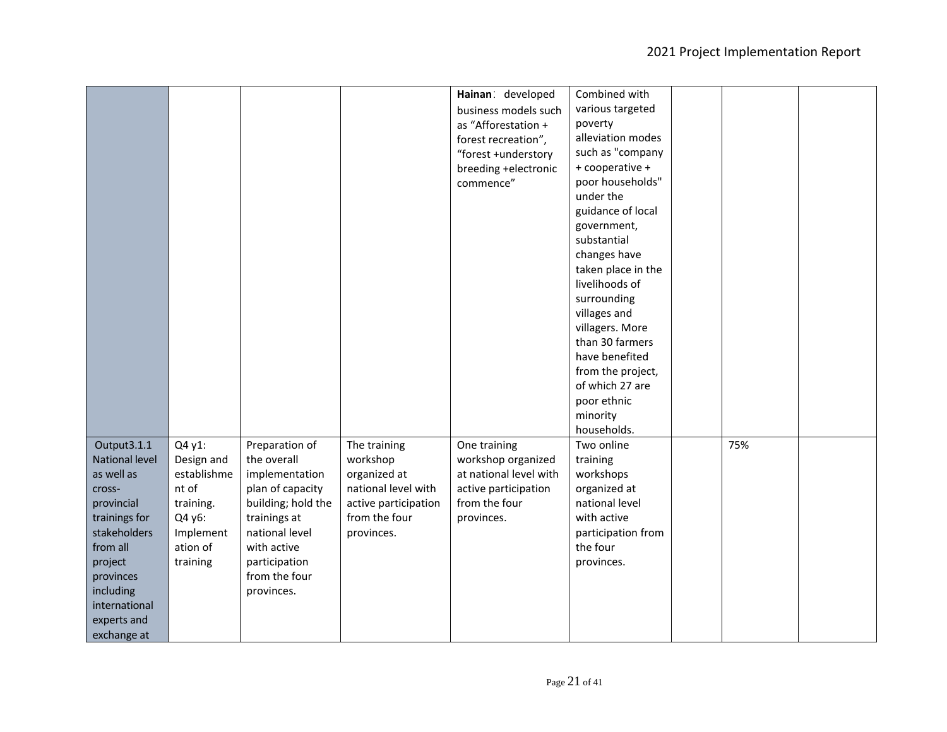|                |             |                    |                      | Hainan: developed      | Combined with      |     |  |
|----------------|-------------|--------------------|----------------------|------------------------|--------------------|-----|--|
|                |             |                    |                      | business models such   | various targeted   |     |  |
|                |             |                    |                      | as "Afforestation +    | poverty            |     |  |
|                |             |                    |                      | forest recreation",    | alleviation modes  |     |  |
|                |             |                    |                      | "forest +understory    | such as "company   |     |  |
|                |             |                    |                      | breeding +electronic   | + cooperative +    |     |  |
|                |             |                    |                      | commence"              | poor households"   |     |  |
|                |             |                    |                      |                        | under the          |     |  |
|                |             |                    |                      |                        | guidance of local  |     |  |
|                |             |                    |                      |                        | government,        |     |  |
|                |             |                    |                      |                        | substantial        |     |  |
|                |             |                    |                      |                        | changes have       |     |  |
|                |             |                    |                      |                        | taken place in the |     |  |
|                |             |                    |                      |                        | livelihoods of     |     |  |
|                |             |                    |                      |                        | surrounding        |     |  |
|                |             |                    |                      |                        | villages and       |     |  |
|                |             |                    |                      |                        | villagers. More    |     |  |
|                |             |                    |                      |                        | than 30 farmers    |     |  |
|                |             |                    |                      |                        | have benefited     |     |  |
|                |             |                    |                      |                        | from the project,  |     |  |
|                |             |                    |                      |                        | of which 27 are    |     |  |
|                |             |                    |                      |                        | poor ethnic        |     |  |
|                |             |                    |                      |                        | minority           |     |  |
|                |             |                    |                      |                        | households.        |     |  |
| Output3.1.1    | Q4 y1:      | Preparation of     | The training         | One training           | Two online         | 75% |  |
| National level | Design and  | the overall        | workshop             | workshop organized     | training           |     |  |
| as well as     | establishme | implementation     | organized at         | at national level with | workshops          |     |  |
| cross-         | nt of       | plan of capacity   | national level with  | active participation   | organized at       |     |  |
| provincial     | training.   | building; hold the | active participation | from the four          | national level     |     |  |
| trainings for  | Q4 y6:      | trainings at       | from the four        | provinces.             | with active        |     |  |
| stakeholders   | Implement   | national level     | provinces.           |                        | participation from |     |  |
| from all       | ation of    | with active        |                      |                        | the four           |     |  |
| project        | training    | participation      |                      |                        | provinces.         |     |  |
| provinces      |             | from the four      |                      |                        |                    |     |  |
| including      |             | provinces.         |                      |                        |                    |     |  |
| international  |             |                    |                      |                        |                    |     |  |
| experts and    |             |                    |                      |                        |                    |     |  |
| exchange at    |             |                    |                      |                        |                    |     |  |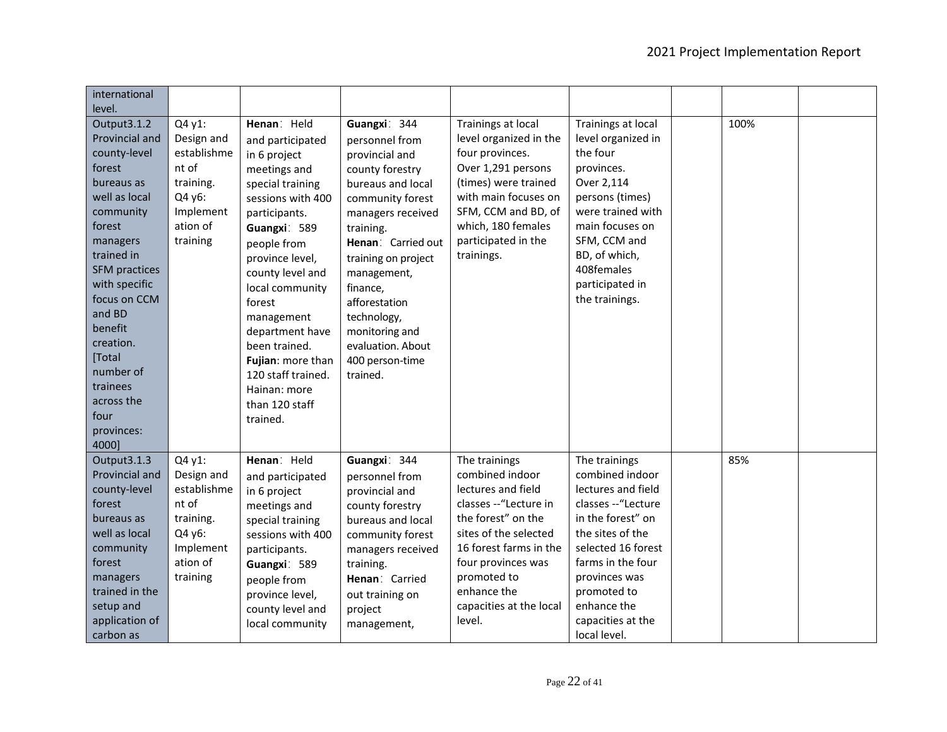| international<br>level.                                                                                                                                                                                                                                                                                            |                                                                                                          |                                                                                                                                                                                                                                                                                                                                                                         |                                                                                                                                                                                                                                                                                                                              |                                                                                                                                                                                                                                                   |                                                                                                                                                                                                                                                       |      |  |
|--------------------------------------------------------------------------------------------------------------------------------------------------------------------------------------------------------------------------------------------------------------------------------------------------------------------|----------------------------------------------------------------------------------------------------------|-------------------------------------------------------------------------------------------------------------------------------------------------------------------------------------------------------------------------------------------------------------------------------------------------------------------------------------------------------------------------|------------------------------------------------------------------------------------------------------------------------------------------------------------------------------------------------------------------------------------------------------------------------------------------------------------------------------|---------------------------------------------------------------------------------------------------------------------------------------------------------------------------------------------------------------------------------------------------|-------------------------------------------------------------------------------------------------------------------------------------------------------------------------------------------------------------------------------------------------------|------|--|
| Output3.1.2<br>Provincial and<br>county-level<br>forest<br>bureaus as<br>well as local<br>community<br>forest<br>managers<br>trained in<br><b>SFM</b> practices<br>with specific<br>focus on CCM<br>and BD<br>benefit<br>creation.<br>[Total<br>number of<br>trainees<br>across the<br>four<br>provinces:<br>4000] | Q4 y1:<br>Design and<br>establishme<br>nt of<br>training.<br>Q4 y6:<br>Implement<br>ation of<br>training | Henan: Held<br>and participated<br>in 6 project<br>meetings and<br>special training<br>sessions with 400<br>participants.<br>Guangxi: 589<br>people from<br>province level,<br>county level and<br>local community<br>forest<br>management<br>department have<br>been trained.<br>Fujian: more than<br>120 staff trained.<br>Hainan: more<br>than 120 staff<br>trained. | Guangxi: 344<br>personnel from<br>provincial and<br>county forestry<br>bureaus and local<br>community forest<br>managers received<br>training.<br>Henan: Carried out<br>training on project<br>management,<br>finance,<br>afforestation<br>technology,<br>monitoring and<br>evaluation. About<br>400 person-time<br>trained. | Trainings at local<br>level organized in the<br>four provinces.<br>Over 1,291 persons<br>(times) were trained<br>with main focuses on<br>SFM, CCM and BD, of<br>which, 180 females<br>participated in the<br>trainings.                           | Trainings at local<br>level organized in<br>the four<br>provinces.<br>Over 2,114<br>persons (times)<br>were trained with<br>main focuses on<br>SFM, CCM and<br>BD, of which,<br>408females<br>participated in<br>the trainings.                       | 100% |  |
| Output3.1.3<br>Provincial and<br>county-level<br>forest<br>bureaus as<br>well as local<br>community<br>forest<br>managers<br>trained in the<br>setup and<br>application of<br>carbon as                                                                                                                            | Q4 y1:<br>Design and<br>establishme<br>nt of<br>training.<br>Q4 y6:<br>Implement<br>ation of<br>training | Henan: Held<br>and participated<br>in 6 project<br>meetings and<br>special training<br>sessions with 400<br>participants.<br>Guangxi: 589<br>people from<br>province level,<br>county level and<br>local community                                                                                                                                                      | Guangxi: 344<br>personnel from<br>provincial and<br>county forestry<br>bureaus and local<br>community forest<br>managers received<br>training.<br>Henan: Carried<br>out training on<br>project<br>management,                                                                                                                | The trainings<br>combined indoor<br>lectures and field<br>classes --"Lecture in<br>the forest" on the<br>sites of the selected<br>16 forest farms in the<br>four provinces was<br>promoted to<br>enhance the<br>capacities at the local<br>level. | The trainings<br>combined indoor<br>lectures and field<br>classes -- "Lecture<br>in the forest" on<br>the sites of the<br>selected 16 forest<br>farms in the four<br>provinces was<br>promoted to<br>enhance the<br>capacities at the<br>local level. | 85%  |  |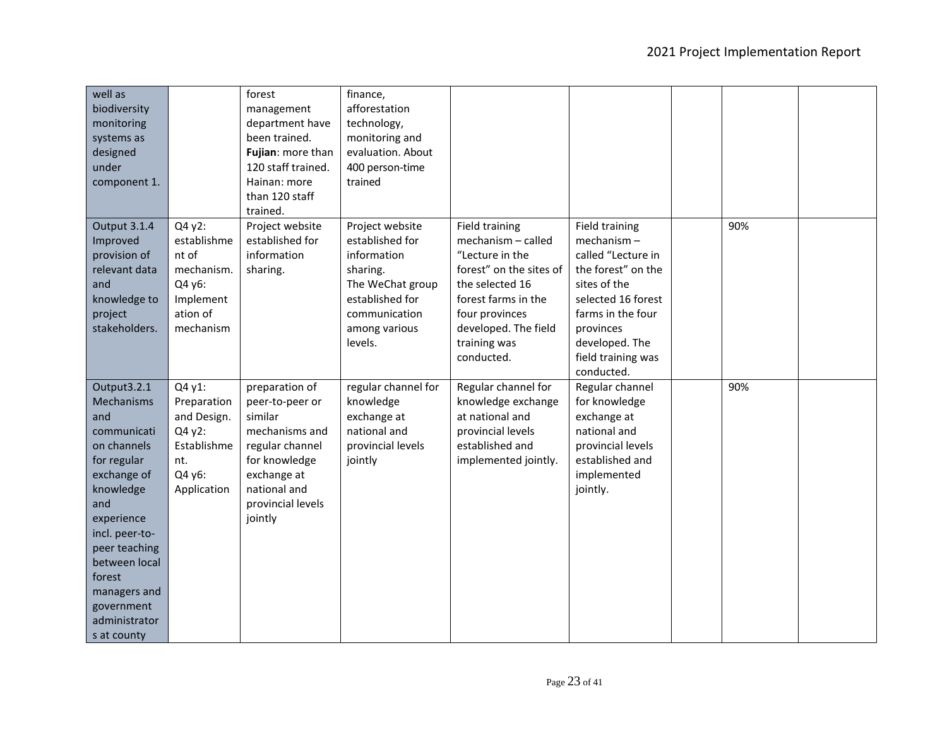| well as<br>biodiversity<br>monitoring<br>systems as<br>designed<br>under<br>component 1.                                                                                                                                                                   |                                                                                               | forest<br>management<br>department have<br>been trained.<br>Fujian: more than<br>120 staff trained.<br>Hainan: more<br>than 120 staff<br>trained.                 | finance,<br>afforestation<br>technology,<br>monitoring and<br>evaluation. About<br>400 person-time<br>trained                                     |                                                                                                                                                                                                             |                                                                                                                                                                                                               |     |  |
|------------------------------------------------------------------------------------------------------------------------------------------------------------------------------------------------------------------------------------------------------------|-----------------------------------------------------------------------------------------------|-------------------------------------------------------------------------------------------------------------------------------------------------------------------|---------------------------------------------------------------------------------------------------------------------------------------------------|-------------------------------------------------------------------------------------------------------------------------------------------------------------------------------------------------------------|---------------------------------------------------------------------------------------------------------------------------------------------------------------------------------------------------------------|-----|--|
| Output 3.1.4<br>Improved<br>provision of<br>relevant data<br>and<br>knowledge to<br>project<br>stakeholders.                                                                                                                                               | Q4 y2:<br>establishme<br>nt of<br>mechanism.<br>Q4 y6:<br>Implement<br>ation of<br>mechanism  | Project website<br>established for<br>information<br>sharing.                                                                                                     | Project website<br>established for<br>information<br>sharing.<br>The WeChat group<br>established for<br>communication<br>among various<br>levels. | <b>Field training</b><br>mechanism - called<br>"Lecture in the<br>forest" on the sites of<br>the selected 16<br>forest farms in the<br>four provinces<br>developed. The field<br>training was<br>conducted. | <b>Field training</b><br>mechanism-<br>called "Lecture in<br>the forest" on the<br>sites of the<br>selected 16 forest<br>farms in the four<br>provinces<br>developed. The<br>field training was<br>conducted. | 90% |  |
| Output3.2.1<br>Mechanisms<br>and<br>communicati<br>on channels<br>for regular<br>exchange of<br>knowledge<br>and<br>experience<br>incl. peer-to-<br>peer teaching<br>between local<br>forest<br>managers and<br>government<br>administrator<br>s at county | Q4 y1:<br>Preparation<br>and Design.<br>Q4 y2:<br>Establishme<br>nt.<br>Q4 y6:<br>Application | preparation of<br>peer-to-peer or<br>similar<br>mechanisms and<br>regular channel<br>for knowledge<br>exchange at<br>national and<br>provincial levels<br>jointly | regular channel for<br>knowledge<br>exchange at<br>national and<br>provincial levels<br>jointly                                                   | Regular channel for<br>knowledge exchange<br>at national and<br>provincial levels<br>established and<br>implemented jointly.                                                                                | Regular channel<br>for knowledge<br>exchange at<br>national and<br>provincial levels<br>established and<br>implemented<br>jointly.                                                                            | 90% |  |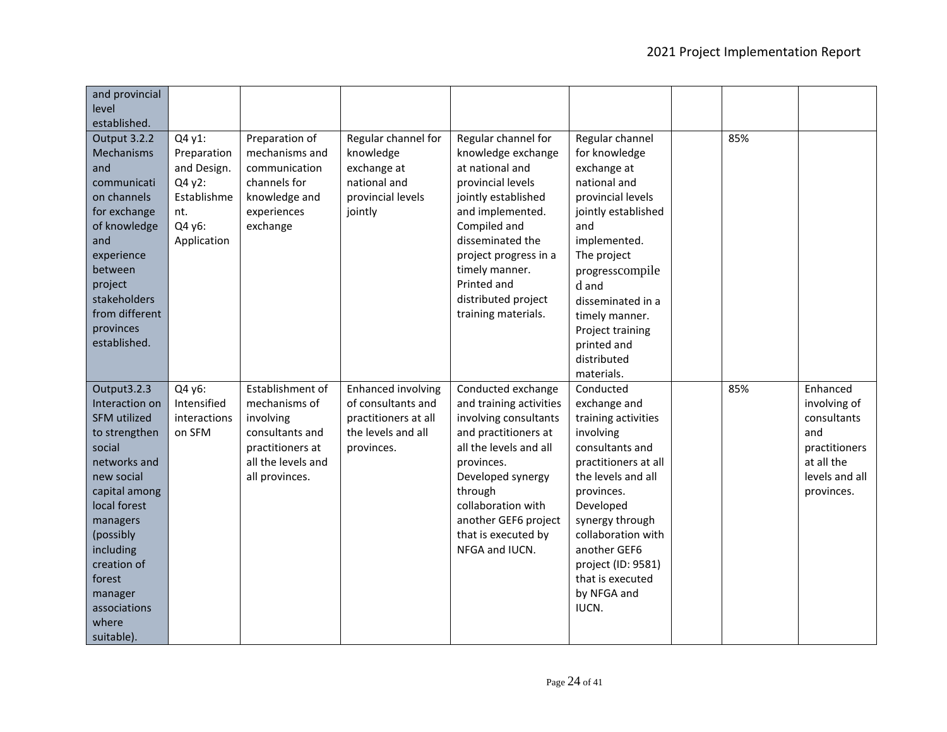| and provincial<br>level<br>established.                                                                                                                                                                                                                         |                                                                                               |                                                                                                                               |                                                                                                      |                                                                                                                                                                                                                                                                          |                                                                                                                                                                                                                                                                                      |     |                                                                                                               |
|-----------------------------------------------------------------------------------------------------------------------------------------------------------------------------------------------------------------------------------------------------------------|-----------------------------------------------------------------------------------------------|-------------------------------------------------------------------------------------------------------------------------------|------------------------------------------------------------------------------------------------------|--------------------------------------------------------------------------------------------------------------------------------------------------------------------------------------------------------------------------------------------------------------------------|--------------------------------------------------------------------------------------------------------------------------------------------------------------------------------------------------------------------------------------------------------------------------------------|-----|---------------------------------------------------------------------------------------------------------------|
| Output 3.2.2<br>Mechanisms<br>and<br>communicati<br>on channels<br>for exchange<br>of knowledge<br>and<br>experience<br>between<br>project<br>stakeholders<br>from different<br>provinces<br>established.                                                       | Q4 y1:<br>Preparation<br>and Design.<br>Q4 y2:<br>Establishme<br>nt.<br>Q4 y6:<br>Application | Preparation of<br>mechanisms and<br>communication<br>channels for<br>knowledge and<br>experiences<br>exchange                 | Regular channel for<br>knowledge<br>exchange at<br>national and<br>provincial levels<br>jointly      | Regular channel for<br>knowledge exchange<br>at national and<br>provincial levels<br>jointly established<br>and implemented.<br>Compiled and<br>disseminated the<br>project progress in a<br>timely manner.<br>Printed and<br>distributed project<br>training materials. | Regular channel<br>for knowledge<br>exchange at<br>national and<br>provincial levels<br>jointly established<br>and<br>implemented.<br>The project<br>progresscompile<br>d and<br>disseminated in a<br>timely manner.<br>Project training<br>printed and<br>distributed<br>materials. | 85% |                                                                                                               |
| Output3.2.3<br>Interaction on<br><b>SFM</b> utilized<br>to strengthen<br>social<br>networks and<br>new social<br>capital among<br>local forest<br>managers<br>(possibly<br>including<br>creation of<br>forest<br>manager<br>associations<br>where<br>suitable). | Q4 y6:<br>Intensified<br>interactions<br>on SFM                                               | Establishment of<br>mechanisms of<br>involving<br>consultants and<br>practitioners at<br>all the levels and<br>all provinces. | Enhanced involving<br>of consultants and<br>practitioners at all<br>the levels and all<br>provinces. | Conducted exchange<br>and training activities<br>involving consultants<br>and practitioners at<br>all the levels and all<br>provinces.<br>Developed synergy<br>through<br>collaboration with<br>another GEF6 project<br>that is executed by<br>NFGA and IUCN.            | Conducted<br>exchange and<br>training activities<br>involving<br>consultants and<br>practitioners at all<br>the levels and all<br>provinces.<br>Developed<br>synergy through<br>collaboration with<br>another GEF6<br>project (ID: 9581)<br>that is executed<br>by NFGA and<br>IUCN. | 85% | Enhanced<br>involving of<br>consultants<br>and<br>practitioners<br>at all the<br>levels and all<br>provinces. |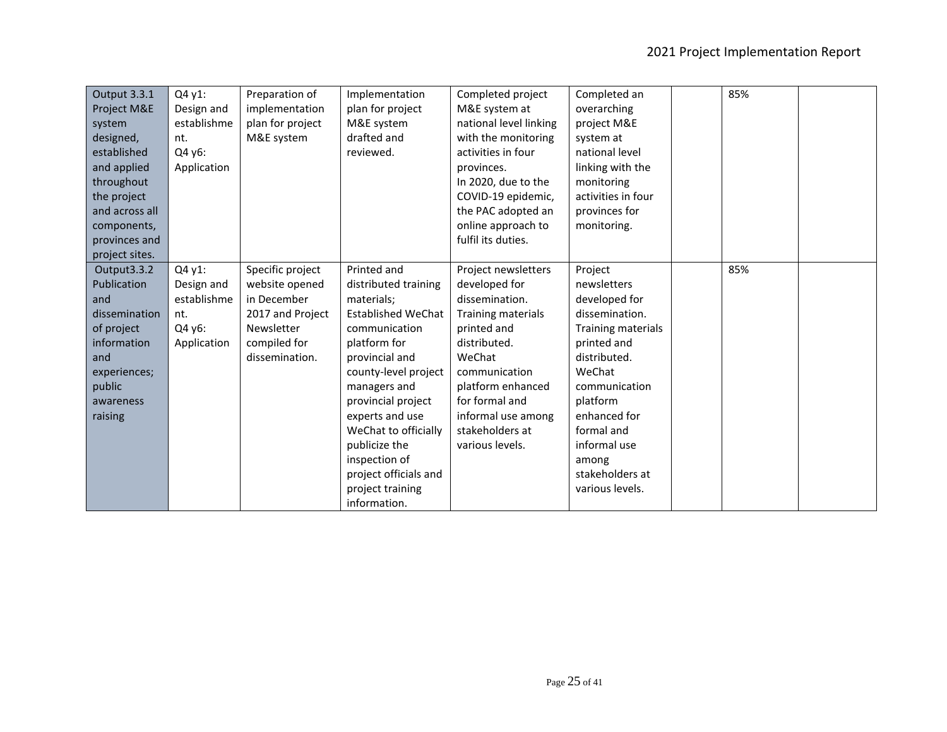| Output 3.3.1   | Q4 y1:      | Preparation of   | Implementation            | Completed project      | Completed an       | 85% |  |
|----------------|-------------|------------------|---------------------------|------------------------|--------------------|-----|--|
| Project M&E    | Design and  | implementation   | plan for project          | M&E system at          | overarching        |     |  |
| system         | establishme | plan for project | M&E system                | national level linking | project M&E        |     |  |
| designed,      | nt.         | M&E system       | drafted and               | with the monitoring    | system at          |     |  |
| established    | Q4 y6:      |                  | reviewed.                 | activities in four     | national level     |     |  |
| and applied    | Application |                  |                           | provinces.             | linking with the   |     |  |
| throughout     |             |                  |                           | In 2020, due to the    | monitoring         |     |  |
| the project    |             |                  |                           | COVID-19 epidemic,     | activities in four |     |  |
| and across all |             |                  |                           | the PAC adopted an     | provinces for      |     |  |
| components,    |             |                  |                           | online approach to     | monitoring.        |     |  |
| provinces and  |             |                  |                           | fulfil its duties.     |                    |     |  |
| project sites. |             |                  |                           |                        |                    |     |  |
| Output3.3.2    | Q4 y1:      | Specific project | Printed and               | Project newsletters    | Project            | 85% |  |
| Publication    | Design and  | website opened   | distributed training      | developed for          | newsletters        |     |  |
| and            | establishme | in December      | materials;                | dissemination.         | developed for      |     |  |
| dissemination  | nt.         | 2017 and Project | <b>Established WeChat</b> | Training materials     | dissemination.     |     |  |
| of project     | Q4 y6:      | Newsletter       | communication             | printed and            | Training materials |     |  |
| information    | Application | compiled for     | platform for              | distributed.           | printed and        |     |  |
| and            |             | dissemination.   | provincial and            | WeChat                 | distributed.       |     |  |
| experiences;   |             |                  | county-level project      | communication          | WeChat             |     |  |
| public         |             |                  | managers and              | platform enhanced      | communication      |     |  |
| awareness      |             |                  | provincial project        | for formal and         | platform           |     |  |
| raising        |             |                  | experts and use           | informal use among     | enhanced for       |     |  |
|                |             |                  | WeChat to officially      | stakeholders at        | formal and         |     |  |
|                |             |                  | publicize the             | various levels.        | informal use       |     |  |
|                |             |                  | inspection of             |                        | among              |     |  |
|                |             |                  | project officials and     |                        | stakeholders at    |     |  |
|                |             |                  | project training          |                        | various levels.    |     |  |
|                |             |                  | information.              |                        |                    |     |  |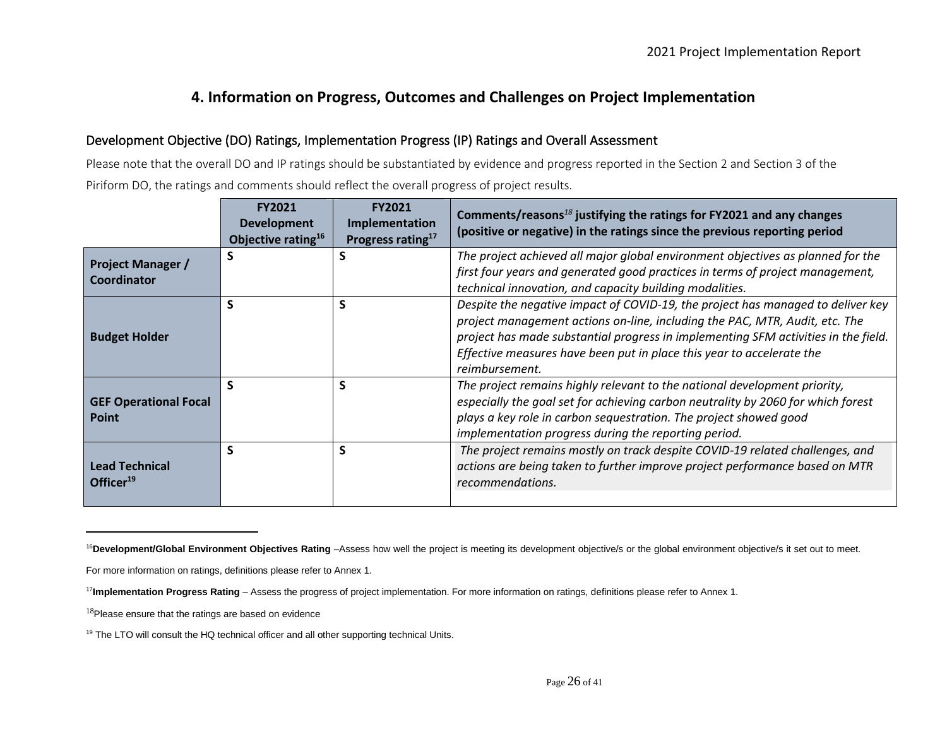## **4. Information on Progress, Outcomes and Challenges on Project Implementation**

### Development Objective (DO) Ratings, Implementation Progress (IP) Ratings and Overall Assessment

Please note that the overall DO and IP ratings should be substantiated by evidence and progress reported in the Section 2 and Section 3 of the Piriform DO, the ratings and comments should reflect the overall progress of project results.

|                                                | <b>FY2021</b><br><b>Development</b><br>Objective rating <sup>16</sup> | <b>FY2021</b><br>Implementation<br>Progress rating <sup>17</sup> | Comments/reasons <sup>18</sup> justifying the ratings for FY2021 and any changes<br>(positive or negative) in the ratings since the previous reporting period                                                                                                                                                                                   |
|------------------------------------------------|-----------------------------------------------------------------------|------------------------------------------------------------------|-------------------------------------------------------------------------------------------------------------------------------------------------------------------------------------------------------------------------------------------------------------------------------------------------------------------------------------------------|
| <b>Project Manager /</b><br>Coordinator        | S                                                                     |                                                                  | The project achieved all major global environment objectives as planned for the<br>first four years and generated good practices in terms of project management,<br>technical innovation, and capacity building modalities.                                                                                                                     |
| <b>Budget Holder</b>                           | S                                                                     | S                                                                | Despite the negative impact of COVID-19, the project has managed to deliver key<br>project management actions on-line, including the PAC, MTR, Audit, etc. The<br>project has made substantial progress in implementing SFM activities in the field.<br>Effective measures have been put in place this year to accelerate the<br>reimbursement. |
| <b>GEF Operational Focal</b><br><b>Point</b>   | S                                                                     | S                                                                | The project remains highly relevant to the national development priority,<br>especially the goal set for achieving carbon neutrality by 2060 for which forest<br>plays a key role in carbon sequestration. The project showed good<br>implementation progress during the reporting period.                                                      |
| <b>Lead Technical</b><br>Officer <sup>19</sup> | S                                                                     | S                                                                | The project remains mostly on track despite COVID-19 related challenges, and<br>actions are being taken to further improve project performance based on MTR<br>recommendations.                                                                                                                                                                 |

<sup>&</sup>lt;sup>16</sup>Development/Global Environment Objectives Rating -Assess how well the project is meeting its development objective/s or the global environment objective/s it set out to meet.

For more information on ratings, definitions please refer to Annex 1.

<sup>17</sup>**Implementation Progress Rating** – Assess the progress of project implementation. For more information on ratings, definitions please refer to Annex 1.

<sup>&</sup>lt;sup>18</sup>Please ensure that the ratings are based on evidence

<sup>&</sup>lt;sup>19</sup> The LTO will consult the HQ technical officer and all other supporting technical Units.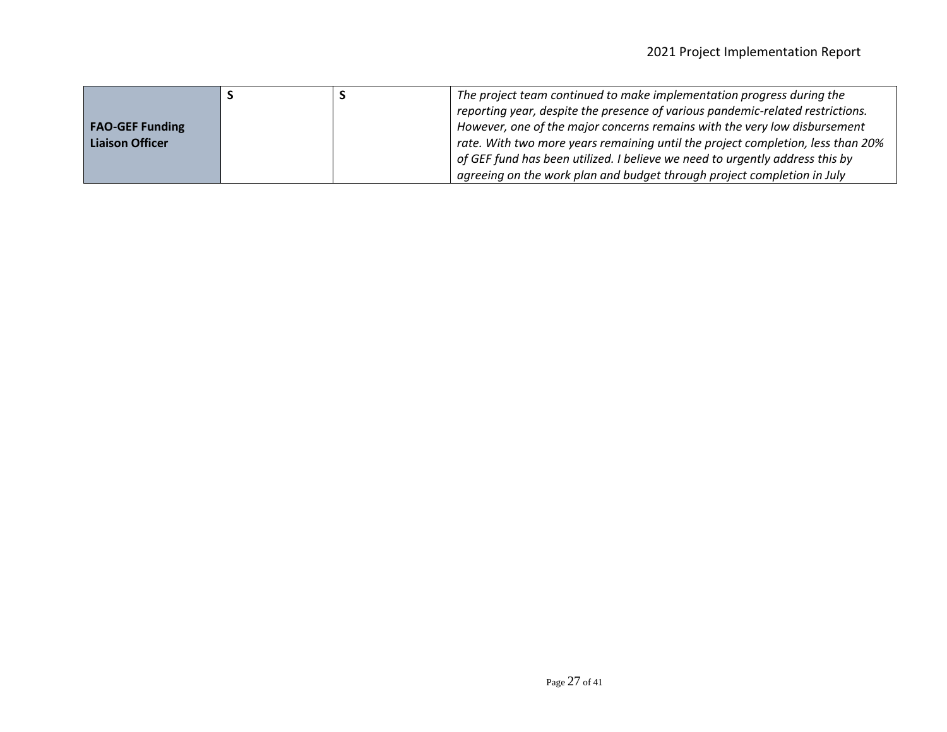|                        |  | The project team continued to make implementation progress during the           |
|------------------------|--|---------------------------------------------------------------------------------|
|                        |  | reporting year, despite the presence of various pandemic-related restrictions.  |
| <b>FAO-GEF Funding</b> |  | However, one of the major concerns remains with the very low disbursement       |
| <b>Liaison Officer</b> |  | rate. With two more years remaining until the project completion, less than 20% |
|                        |  | of GEF fund has been utilized. I believe we need to urgently address this by    |
|                        |  | agreeing on the work plan and budget through project completion in July         |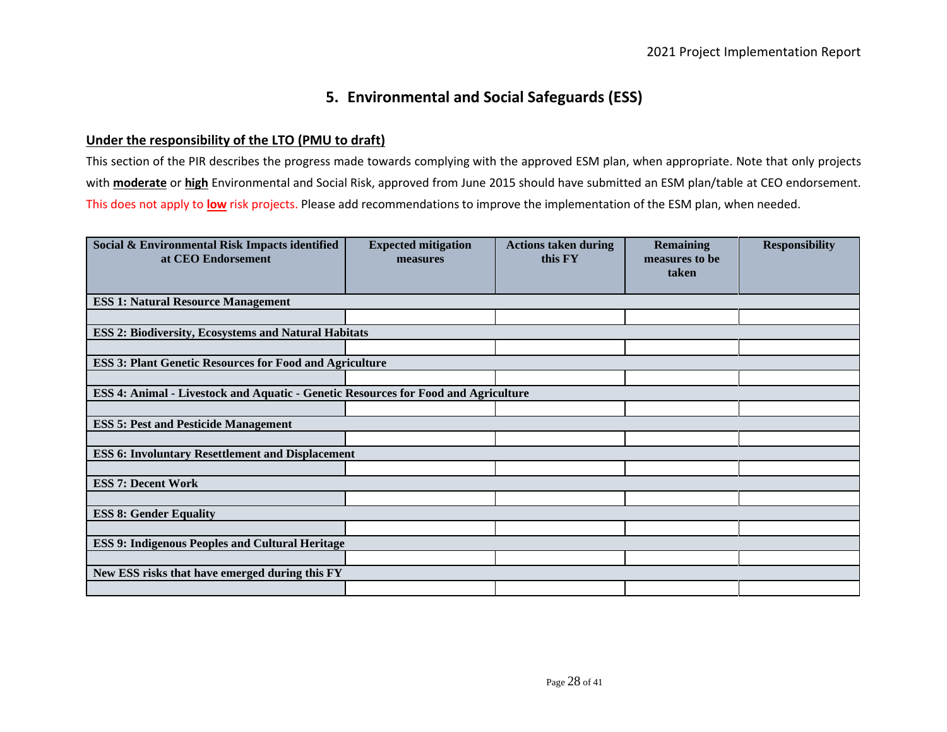## **5. Environmental and Social Safeguards (ESS)**

#### **Under the responsibility of the LTO (PMU to draft)**

This section of the PIR describes the progress made towards complying with the approved ESM plan, when appropriate. Note that only projects with **moderate** or **high** Environmental and Social Risk, approved from June 2015 should have submitted an ESM plan/table at CEO endorsement. This does not apply to **low** risk projects. Please add recommendations to improve the implementation of the ESM plan, when needed.

| Social & Environmental Risk Impacts identified<br>at CEO Endorsement               | <b>Expected mitigation</b><br>measures | <b>Actions taken during</b><br>this FY | <b>Remaining</b><br>measures to be | <b>Responsibility</b> |
|------------------------------------------------------------------------------------|----------------------------------------|----------------------------------------|------------------------------------|-----------------------|
|                                                                                    |                                        |                                        | taken                              |                       |
| <b>ESS 1: Natural Resource Management</b>                                          |                                        |                                        |                                    |                       |
|                                                                                    |                                        |                                        |                                    |                       |
| <b>ESS 2: Biodiversity, Ecosystems and Natural Habitats</b>                        |                                        |                                        |                                    |                       |
|                                                                                    |                                        |                                        |                                    |                       |
| <b>ESS 3: Plant Genetic Resources for Food and Agriculture</b>                     |                                        |                                        |                                    |                       |
|                                                                                    |                                        |                                        |                                    |                       |
| ESS 4: Animal - Livestock and Aquatic - Genetic Resources for Food and Agriculture |                                        |                                        |                                    |                       |
|                                                                                    |                                        |                                        |                                    |                       |
| <b>ESS 5: Pest and Pesticide Management</b>                                        |                                        |                                        |                                    |                       |
|                                                                                    |                                        |                                        |                                    |                       |
| <b>ESS 6: Involuntary Resettlement and Displacement</b>                            |                                        |                                        |                                    |                       |
|                                                                                    |                                        |                                        |                                    |                       |
| <b>ESS 7: Decent Work</b>                                                          |                                        |                                        |                                    |                       |
|                                                                                    |                                        |                                        |                                    |                       |
| <b>ESS 8: Gender Equality</b>                                                      |                                        |                                        |                                    |                       |
|                                                                                    |                                        |                                        |                                    |                       |
| <b>ESS 9: Indigenous Peoples and Cultural Heritage</b>                             |                                        |                                        |                                    |                       |
|                                                                                    |                                        |                                        |                                    |                       |
| New ESS risks that have emerged during this FY                                     |                                        |                                        |                                    |                       |
|                                                                                    |                                        |                                        |                                    |                       |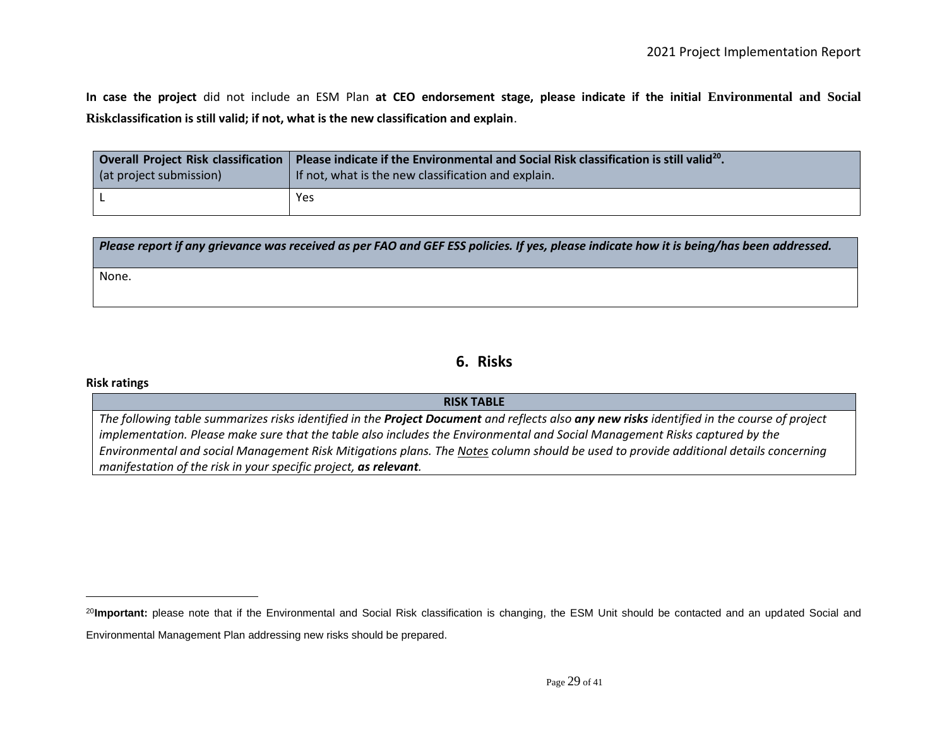**In case the project** did not include an ESM Plan **at CEO endorsement stage, please indicate if the initial Environmental and Social Riskclassification is still valid; if not, what is the new classification and explain**.

| Overall Project Risk classification | Please indicate if the Environmental and Social Risk classification is still valid <sup>20</sup> . |
|-------------------------------------|----------------------------------------------------------------------------------------------------|
| (at project submission)             | If not, what is the new classification and explain.                                                |
|                                     | Yes                                                                                                |

| Please report if any grievance was received as per FAO and GEF ESS policies. If yes, please indicate how it is being/has been addressed. |
|------------------------------------------------------------------------------------------------------------------------------------------|
| None.                                                                                                                                    |

### **6. Risks**

#### **Risk ratings**

#### **RISK TABLE**

*The following table summarizes risks identified in the Project Document and reflects also any new risks identified in the course of project implementation. Please make sure that the table also includes the Environmental and Social Management Risks captured by the Environmental and social Management Risk Mitigations plans. The Notes column should be used to provide additional details concerning manifestation of the risk in your specific project, as relevant.* 

<sup>&</sup>lt;sup>20</sup>Important: please note that if the Environmental and Social Risk classification is changing, the ESM Unit should be contacted and an updated Social and Environmental Management Plan addressing new risks should be prepared.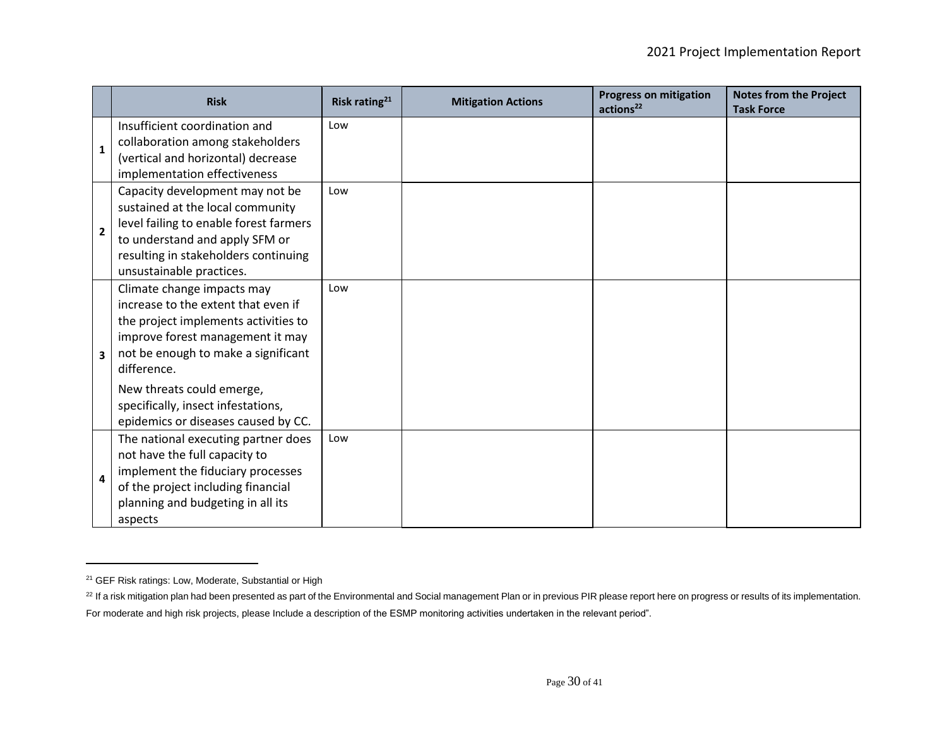|                | <b>Risk</b>                                                            | Risk rating <sup>21</sup> | <b>Mitigation Actions</b> | <b>Progress on mitigation</b><br>actions <sup>22</sup> | <b>Notes from the Project</b><br><b>Task Force</b> |
|----------------|------------------------------------------------------------------------|---------------------------|---------------------------|--------------------------------------------------------|----------------------------------------------------|
|                | Insufficient coordination and                                          | Low                       |                           |                                                        |                                                    |
| $\mathbf{1}$   | collaboration among stakeholders<br>(vertical and horizontal) decrease |                           |                           |                                                        |                                                    |
|                | implementation effectiveness                                           |                           |                           |                                                        |                                                    |
|                | Capacity development may not be                                        | Low                       |                           |                                                        |                                                    |
|                | sustained at the local community                                       |                           |                           |                                                        |                                                    |
| $\overline{2}$ | level failing to enable forest farmers                                 |                           |                           |                                                        |                                                    |
|                | to understand and apply SFM or                                         |                           |                           |                                                        |                                                    |
|                | resulting in stakeholders continuing                                   |                           |                           |                                                        |                                                    |
|                | unsustainable practices.                                               |                           |                           |                                                        |                                                    |
|                | Climate change impacts may                                             | Low                       |                           |                                                        |                                                    |
|                | increase to the extent that even if                                    |                           |                           |                                                        |                                                    |
|                | the project implements activities to                                   |                           |                           |                                                        |                                                    |
|                | improve forest management it may                                       |                           |                           |                                                        |                                                    |
| 3              | not be enough to make a significant                                    |                           |                           |                                                        |                                                    |
|                | difference.                                                            |                           |                           |                                                        |                                                    |
|                | New threats could emerge,                                              |                           |                           |                                                        |                                                    |
|                | specifically, insect infestations,                                     |                           |                           |                                                        |                                                    |
|                | epidemics or diseases caused by CC.                                    |                           |                           |                                                        |                                                    |
|                | The national executing partner does                                    | Low                       |                           |                                                        |                                                    |
|                | not have the full capacity to                                          |                           |                           |                                                        |                                                    |
| 4              | implement the fiduciary processes                                      |                           |                           |                                                        |                                                    |
|                | of the project including financial                                     |                           |                           |                                                        |                                                    |
|                | planning and budgeting in all its                                      |                           |                           |                                                        |                                                    |
|                | aspects                                                                |                           |                           |                                                        |                                                    |

<sup>&</sup>lt;sup>21</sup> GEF Risk ratings: Low, Moderate, Substantial or High

<sup>&</sup>lt;sup>22</sup> If a risk mitigation plan had been presented as part of the Environmental and Social management Plan or in previous PIR please report here on progress or results of its implementation. For moderate and high risk projects, please Include a description of the ESMP monitoring activities undertaken in the relevant period".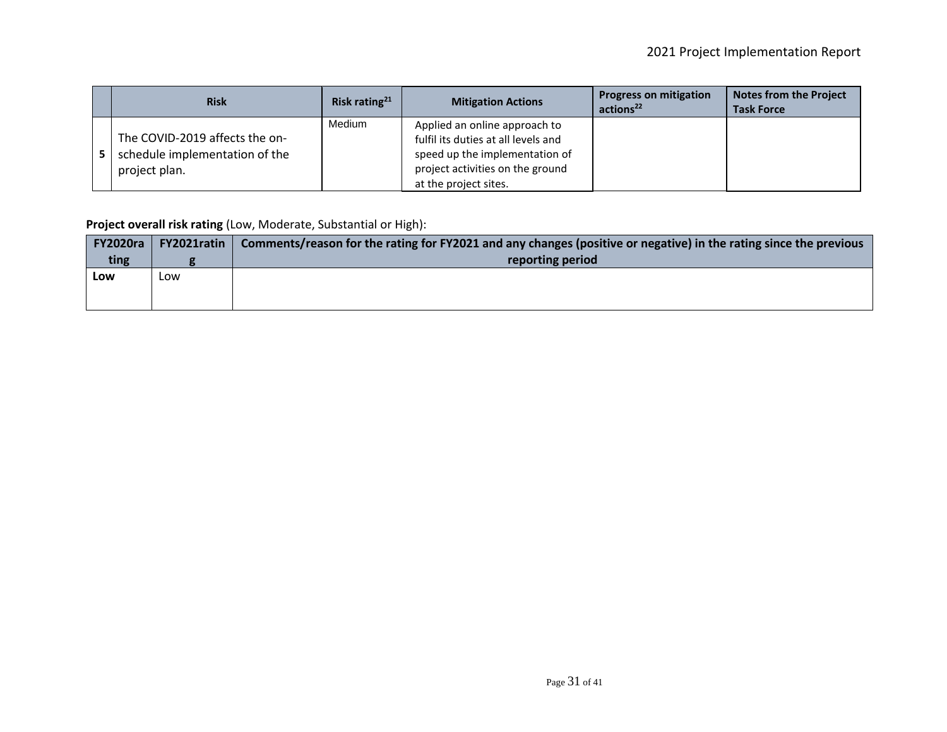| <b>Risk</b>                                                                       | Risk rating <sup>21</sup> | <b>Mitigation Actions</b>                                                                                                                                           | <b>Progress on mitigation</b><br>actions <sup>22</sup> | <b>Notes from the Project</b><br><b>Task Force</b> |
|-----------------------------------------------------------------------------------|---------------------------|---------------------------------------------------------------------------------------------------------------------------------------------------------------------|--------------------------------------------------------|----------------------------------------------------|
| The COVID-2019 affects the on-<br>schedule implementation of the<br>project plan. | Medium                    | Applied an online approach to<br>fulfil its duties at all levels and<br>speed up the implementation of<br>project activities on the ground<br>at the project sites. |                                                        |                                                    |

**Project overall risk rating** (Low, Moderate, Substantial or High):

| <b>FY2020ra</b> | <b>FY2021ratin</b> | Comments/reason for the rating for FY2021 and any changes (positive or negative) in the rating since the previous |
|-----------------|--------------------|-------------------------------------------------------------------------------------------------------------------|
| ting            |                    | reporting period                                                                                                  |
| Low             | Low                |                                                                                                                   |
|                 |                    |                                                                                                                   |
|                 |                    |                                                                                                                   |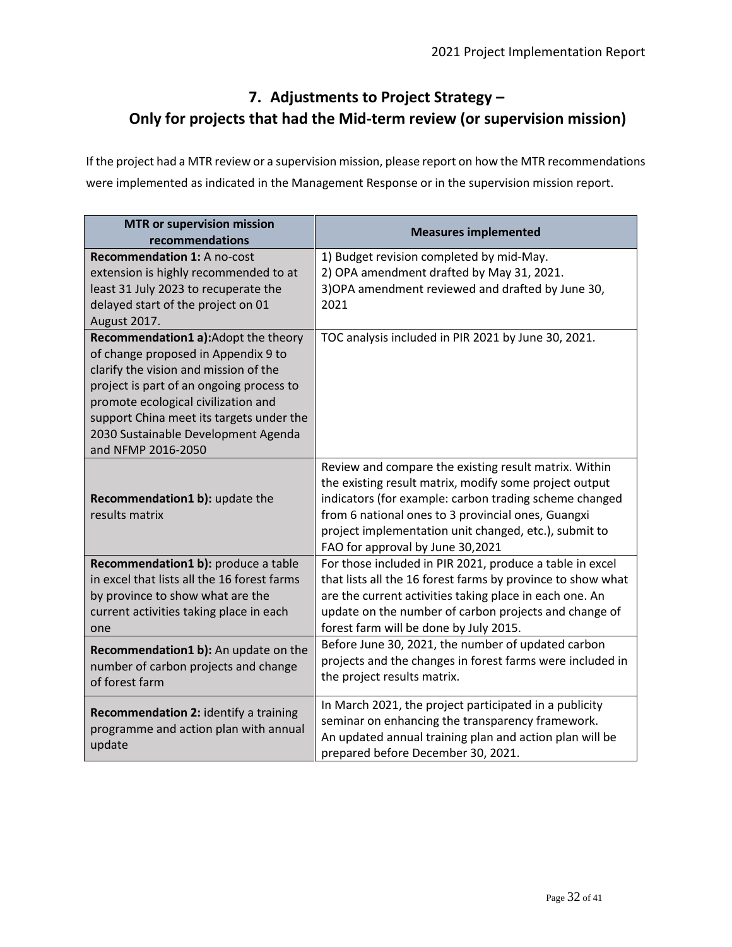# **7. Adjustments to Project Strategy – Only for projects that had the Mid-term review (or supervision mission)**

If the project had a MTR review or a supervision mission, please report on how the MTR recommendations were implemented as indicated in the Management Response or in the supervision mission report.

| <b>MTR or supervision mission</b><br>recommendations                                                                                                                                                                                                                                                            | <b>Measures implemented</b>                                                                                                                                                                                                                                                                                                  |  |  |
|-----------------------------------------------------------------------------------------------------------------------------------------------------------------------------------------------------------------------------------------------------------------------------------------------------------------|------------------------------------------------------------------------------------------------------------------------------------------------------------------------------------------------------------------------------------------------------------------------------------------------------------------------------|--|--|
| <b>Recommendation 1: A no-cost</b><br>extension is highly recommended to at<br>least 31 July 2023 to recuperate the<br>delayed start of the project on 01<br>August 2017.                                                                                                                                       | 1) Budget revision completed by mid-May.<br>2) OPA amendment drafted by May 31, 2021.<br>3) OPA amendment reviewed and drafted by June 30,<br>2021                                                                                                                                                                           |  |  |
| Recommendation1 a):Adopt the theory<br>of change proposed in Appendix 9 to<br>clarify the vision and mission of the<br>project is part of an ongoing process to<br>promote ecological civilization and<br>support China meet its targets under the<br>2030 Sustainable Development Agenda<br>and NFMP 2016-2050 | TOC analysis included in PIR 2021 by June 30, 2021.                                                                                                                                                                                                                                                                          |  |  |
| Recommendation1 b): update the<br>results matrix                                                                                                                                                                                                                                                                | Review and compare the existing result matrix. Within<br>the existing result matrix, modify some project output<br>indicators (for example: carbon trading scheme changed<br>from 6 national ones to 3 provincial ones, Guangxi<br>project implementation unit changed, etc.), submit to<br>FAO for approval by June 30,2021 |  |  |
| Recommendation1 b): produce a table<br>in excel that lists all the 16 forest farms<br>by province to show what are the<br>current activities taking place in each<br>one                                                                                                                                        | For those included in PIR 2021, produce a table in excel<br>that lists all the 16 forest farms by province to show what<br>are the current activities taking place in each one. An<br>update on the number of carbon projects and change of<br>forest farm will be done by July 2015.                                        |  |  |
| Recommendation1 b): An update on the<br>number of carbon projects and change<br>of forest farm                                                                                                                                                                                                                  | Before June 30, 2021, the number of updated carbon<br>projects and the changes in forest farms were included in<br>the project results matrix.                                                                                                                                                                               |  |  |
| Recommendation 2: identify a training<br>programme and action plan with annual<br>update                                                                                                                                                                                                                        | In March 2021, the project participated in a publicity<br>seminar on enhancing the transparency framework.<br>An updated annual training plan and action plan will be<br>prepared before December 30, 2021.                                                                                                                  |  |  |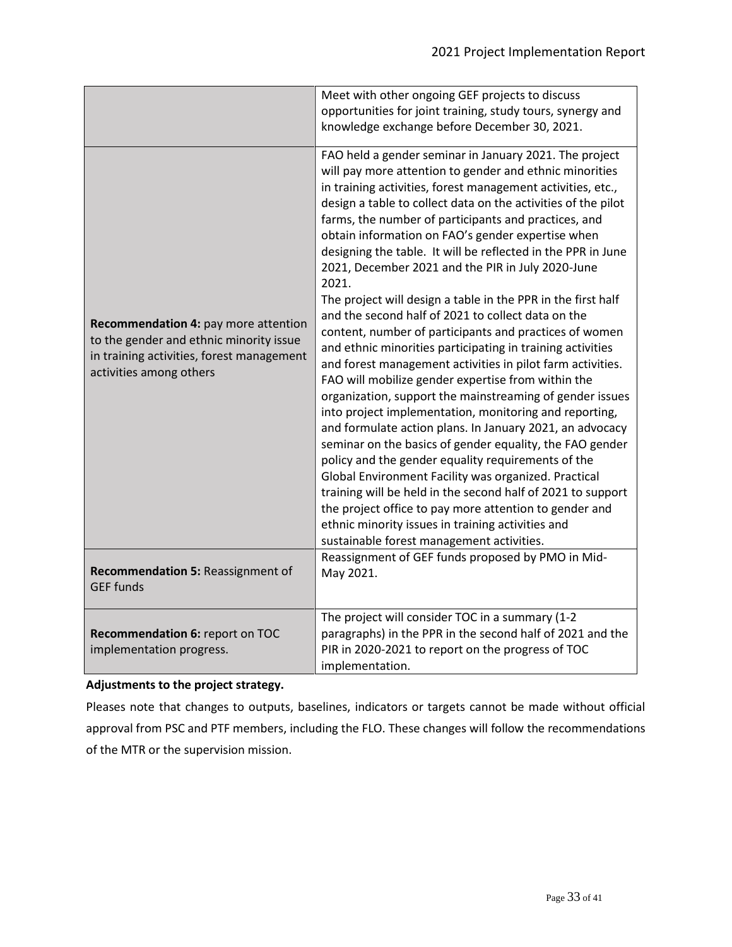|                                                                                                                                                         | Meet with other ongoing GEF projects to discuss                                                                                                                                                                                                                                                                                                                                                                                                                                                                                                                                                                                                                                                                                                                                                                                                                                                                                                                                                                                                                                                                                                                                                                                                                                                                                                                                                                                                       |  |  |
|---------------------------------------------------------------------------------------------------------------------------------------------------------|-------------------------------------------------------------------------------------------------------------------------------------------------------------------------------------------------------------------------------------------------------------------------------------------------------------------------------------------------------------------------------------------------------------------------------------------------------------------------------------------------------------------------------------------------------------------------------------------------------------------------------------------------------------------------------------------------------------------------------------------------------------------------------------------------------------------------------------------------------------------------------------------------------------------------------------------------------------------------------------------------------------------------------------------------------------------------------------------------------------------------------------------------------------------------------------------------------------------------------------------------------------------------------------------------------------------------------------------------------------------------------------------------------------------------------------------------------|--|--|
|                                                                                                                                                         | opportunities for joint training, study tours, synergy and                                                                                                                                                                                                                                                                                                                                                                                                                                                                                                                                                                                                                                                                                                                                                                                                                                                                                                                                                                                                                                                                                                                                                                                                                                                                                                                                                                                            |  |  |
|                                                                                                                                                         | knowledge exchange before December 30, 2021.                                                                                                                                                                                                                                                                                                                                                                                                                                                                                                                                                                                                                                                                                                                                                                                                                                                                                                                                                                                                                                                                                                                                                                                                                                                                                                                                                                                                          |  |  |
| Recommendation 4: pay more attention<br>to the gender and ethnic minority issue<br>in training activities, forest management<br>activities among others | FAO held a gender seminar in January 2021. The project<br>will pay more attention to gender and ethnic minorities<br>in training activities, forest management activities, etc.,<br>design a table to collect data on the activities of the pilot<br>farms, the number of participants and practices, and<br>obtain information on FAO's gender expertise when<br>designing the table. It will be reflected in the PPR in June<br>2021, December 2021 and the PIR in July 2020-June<br>2021.<br>The project will design a table in the PPR in the first half<br>and the second half of 2021 to collect data on the<br>content, number of participants and practices of women<br>and ethnic minorities participating in training activities<br>and forest management activities in pilot farm activities.<br>FAO will mobilize gender expertise from within the<br>organization, support the mainstreaming of gender issues<br>into project implementation, monitoring and reporting,<br>and formulate action plans. In January 2021, an advocacy<br>seminar on the basics of gender equality, the FAO gender<br>policy and the gender equality requirements of the<br>Global Environment Facility was organized. Practical<br>training will be held in the second half of 2021 to support<br>the project office to pay more attention to gender and<br>ethnic minority issues in training activities and<br>sustainable forest management activities. |  |  |
| Recommendation 5: Reassignment of<br><b>GEF funds</b>                                                                                                   | Reassignment of GEF funds proposed by PMO in Mid-<br>May 2021.                                                                                                                                                                                                                                                                                                                                                                                                                                                                                                                                                                                                                                                                                                                                                                                                                                                                                                                                                                                                                                                                                                                                                                                                                                                                                                                                                                                        |  |  |
| Recommendation 6: report on TOC<br>implementation progress.                                                                                             | The project will consider TOC in a summary (1-2<br>paragraphs) in the PPR in the second half of 2021 and the<br>PIR in 2020-2021 to report on the progress of TOC<br>implementation.                                                                                                                                                                                                                                                                                                                                                                                                                                                                                                                                                                                                                                                                                                                                                                                                                                                                                                                                                                                                                                                                                                                                                                                                                                                                  |  |  |

#### **Adjustments to the project strategy.**

Pleases note that changes to outputs, baselines, indicators or targets cannot be made without official approval from PSC and PTF members, including the FLO. These changes will follow the recommendations of the MTR or the supervision mission.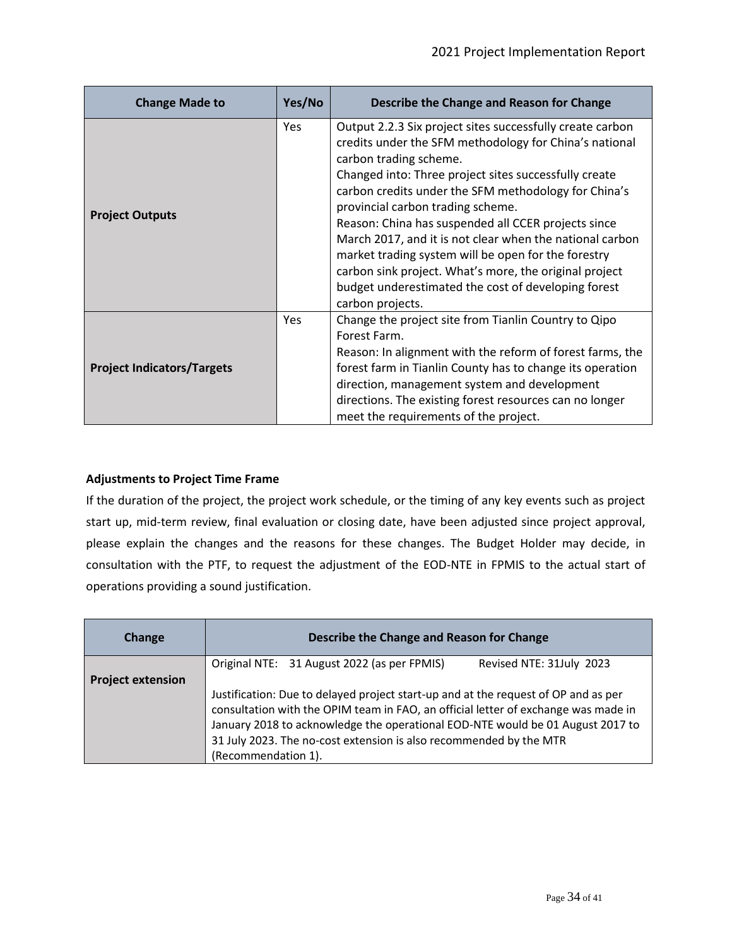| Yes/No<br><b>Change Made to</b>          |            | Describe the Change and Reason for Change                                                                                                                                                                                                                                                                                                                                                                                                                                                                                                                                                                          |  |  |
|------------------------------------------|------------|--------------------------------------------------------------------------------------------------------------------------------------------------------------------------------------------------------------------------------------------------------------------------------------------------------------------------------------------------------------------------------------------------------------------------------------------------------------------------------------------------------------------------------------------------------------------------------------------------------------------|--|--|
| <b>Project Outputs</b>                   | <b>Yes</b> | Output 2.2.3 Six project sites successfully create carbon<br>credits under the SFM methodology for China's national<br>carbon trading scheme.<br>Changed into: Three project sites successfully create<br>carbon credits under the SFM methodology for China's<br>provincial carbon trading scheme.<br>Reason: China has suspended all CCER projects since<br>March 2017, and it is not clear when the national carbon<br>market trading system will be open for the forestry<br>carbon sink project. What's more, the original project<br>budget underestimated the cost of developing forest<br>carbon projects. |  |  |
| Yes<br><b>Project Indicators/Targets</b> |            | Change the project site from Tianlin Country to Qipo<br>Forest Farm.<br>Reason: In alignment with the reform of forest farms, the<br>forest farm in Tianlin County has to change its operation<br>direction, management system and development<br>directions. The existing forest resources can no longer<br>meet the requirements of the project.                                                                                                                                                                                                                                                                 |  |  |

#### **Adjustments to Project Time Frame**

If the duration of the project, the project work schedule, or the timing of any key events such as project start up, mid-term review, final evaluation or closing date, have been adjusted since project approval, please explain the changes and the reasons for these changes. The Budget Holder may decide, in consultation with the PTF, to request the adjustment of the EOD-NTE in FPMIS to the actual start of operations providing a sound justification.

| Change                   | Describe the Change and Reason for Change                                                                                                                                |  |  |  |  |  |  |
|--------------------------|--------------------------------------------------------------------------------------------------------------------------------------------------------------------------|--|--|--|--|--|--|
|                          | Original NTE: 31 August 2022 (as per FPMIS)<br>Revised NTE: 31July 2023                                                                                                  |  |  |  |  |  |  |
| <b>Project extension</b> |                                                                                                                                                                          |  |  |  |  |  |  |
|                          | Justification: Due to delayed project start-up and at the request of OP and as per<br>consultation with the OPIM team in FAO, an official letter of exchange was made in |  |  |  |  |  |  |
|                          | January 2018 to acknowledge the operational EOD-NTE would be 01 August 2017 to                                                                                           |  |  |  |  |  |  |
|                          | 31 July 2023. The no-cost extension is also recommended by the MTR                                                                                                       |  |  |  |  |  |  |
|                          | (Recommendation 1).                                                                                                                                                      |  |  |  |  |  |  |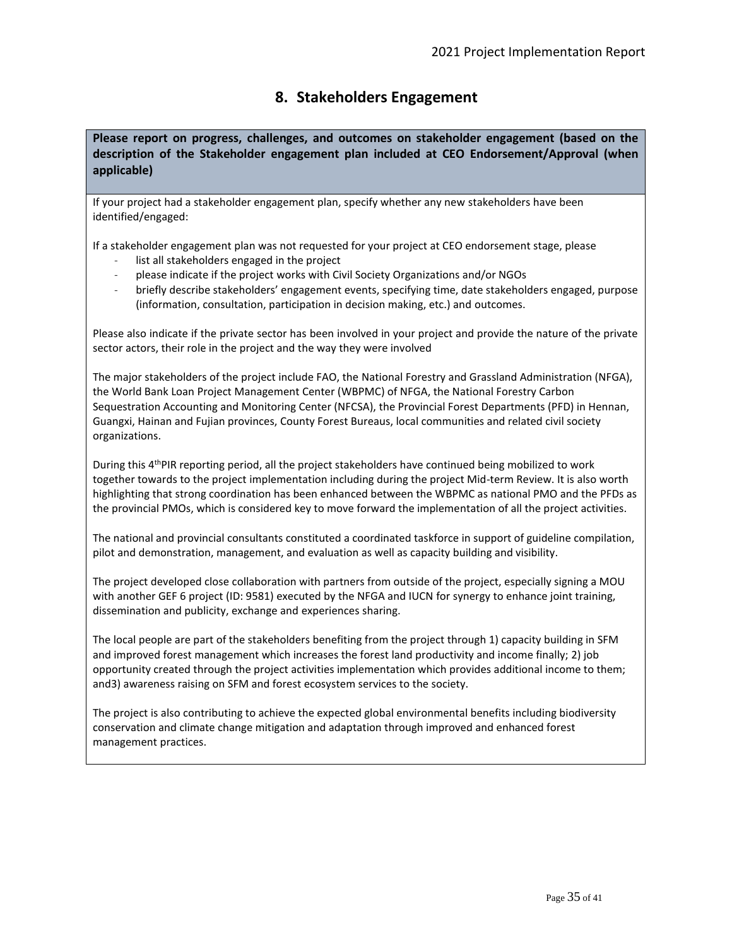## **8. Stakeholders Engagement**

**Please report on progress, challenges, and outcomes on stakeholder engagement (based on the description of the Stakeholder engagement plan included at CEO Endorsement/Approval (when applicable)**

If your project had a stakeholder engagement plan, specify whether any new stakeholders have been identified/engaged:

If a stakeholder engagement plan was not requested for your project at CEO endorsement stage, please

- list all stakeholders engaged in the project
- please indicate if the project works with Civil Society Organizations and/or NGOs
- briefly describe stakeholders' engagement events, specifying time, date stakeholders engaged, purpose (information, consultation, participation in decision making, etc.) and outcomes.

Please also indicate if the private sector has been involved in your project and provide the nature of the private sector actors, their role in the project and the way they were involved

The major stakeholders of the project include FAO, the National Forestry and Grassland Administration (NFGA), the World Bank Loan Project Management Center (WBPMC) of NFGA, the National Forestry Carbon Sequestration Accounting and Monitoring Center (NFCSA), the Provincial Forest Departments (PFD) in Hennan, Guangxi, Hainan and Fujian provinces, County Forest Bureaus, local communities and related civil society organizations.

During this 4<sup>th</sup>PIR reporting period, all the project stakeholders have continued being mobilized to work together towards to the project implementation including during the project Mid-term Review. It is also worth highlighting that strong coordination has been enhanced between the WBPMC as national PMO and the PFDs as the provincial PMOs, which is considered key to move forward the implementation of all the project activities.

The national and provincial consultants constituted a coordinated taskforce in support of guideline compilation, pilot and demonstration, management, and evaluation as well as capacity building and visibility.

The project developed close collaboration with partners from outside of the project, especially signing a MOU with another GEF 6 project (ID: 9581) executed by the NFGA and IUCN for synergy to enhance joint training, dissemination and publicity, exchange and experiences sharing.

The local people are part of the stakeholders benefiting from the project through 1) capacity building in SFM and improved forest management which increases the forest land productivity and income finally; 2) job opportunity created through the project activities implementation which provides additional income to them; and3) awareness raising on SFM and forest ecosystem services to the society.

The project is also contributing to achieve the expected global environmental benefits including biodiversity conservation and climate change mitigation and adaptation through improved and enhanced forest management practices.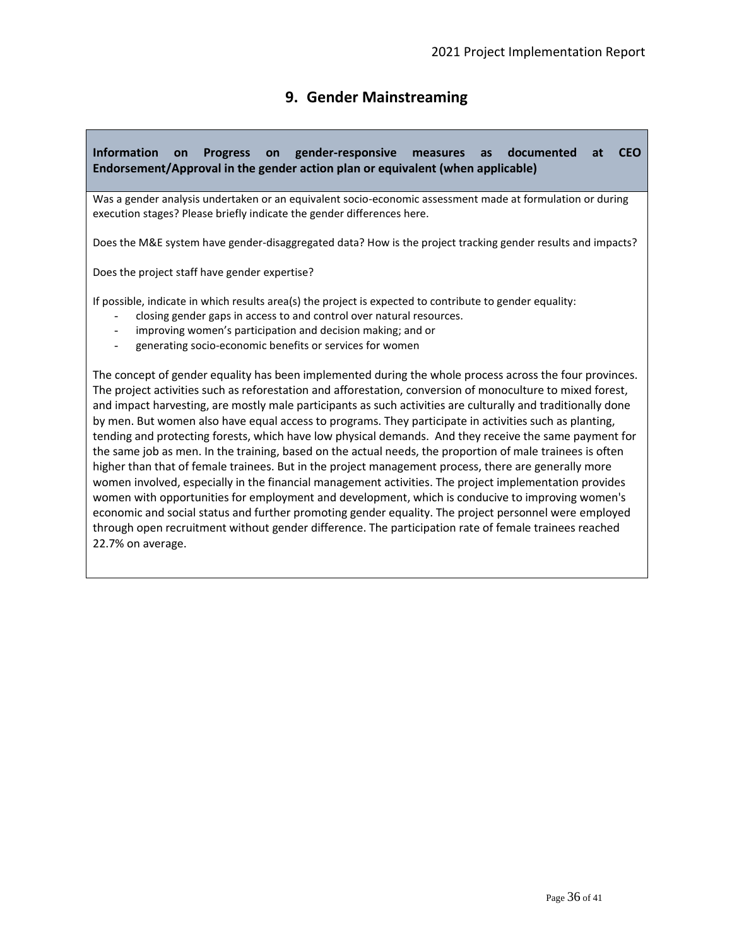# **9. Gender Mainstreaming**

### **Information on Progress on gender-responsive measures as documented at CEO Endorsement/Approval in the gender action plan or equivalent (when applicable)**

Was a gender analysis undertaken or an equivalent socio-economic assessment made at formulation or during execution stages? Please briefly indicate the gender differences here.

Does the M&E system have gender-disaggregated data? How is the project tracking gender results and impacts?

Does the project staff have gender expertise?

If possible, indicate in which results area(s) the project is expected to contribute to gender equality:

- closing gender gaps in access to and control over natural resources.
- improving women's participation and decision making; and or
- generating socio-economic benefits or services for women

The concept of gender equality has been implemented during the whole process across the four provinces. The project activities such as reforestation and afforestation, conversion of monoculture to mixed forest, and impact harvesting, are mostly male participants as such activities are culturally and traditionally done by men. But women also have equal access to programs. They participate in activities such as planting, tending and protecting forests, which have low physical demands. And they receive the same payment for the same job as men. In the training, based on the actual needs, the proportion of male trainees is often higher than that of female trainees. But in the project management process, there are generally more women involved, especially in the financial management activities. The project implementation provides women with opportunities for employment and development, which is conducive to improving women's economic and social status and further promoting gender equality. The project personnel were employed through open recruitment without gender difference. The participation rate of female trainees reached 22.7% on average.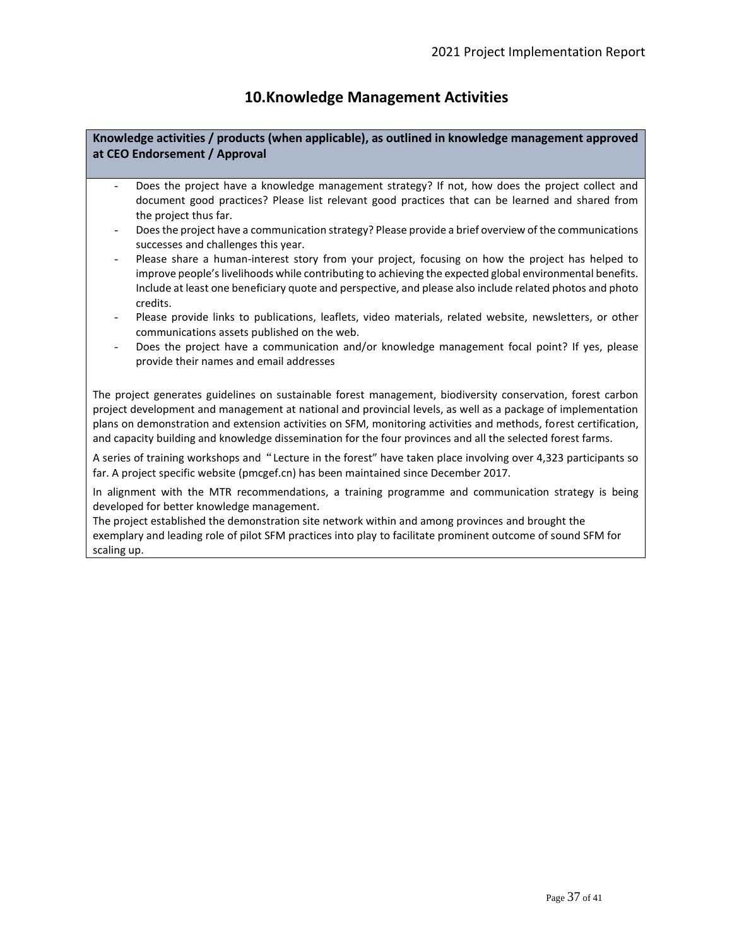### **10.Knowledge Management Activities**

**Knowledge activities / products (when applicable), as outlined in knowledge management approved at CEO Endorsement / Approval**

- Does the project have a knowledge management strategy? If not, how does the project collect and document good practices? Please list relevant good practices that can be learned and shared from the project thus far.
- Does the project have a communication strategy? Please provide a brief overview of the communications successes and challenges this year.
- Please share a human-interest story from your project, focusing on how the project has helped to improve people's livelihoods while contributing to achieving the expected global environmental benefits. Include at least one beneficiary quote and perspective, and please also include related photos and photo credits.
- Please provide links to publications, leaflets, video materials, related website, newsletters, or other communications assets published on the web.
- Does the project have a communication and/or knowledge management focal point? If yes, please provide their names and email addresses

The project generates guidelines on sustainable forest management, biodiversity conservation, forest carbon project development and management at national and provincial levels, as well as a package of implementation plans on demonstration and extension activities on SFM, monitoring activities and methods, forest certification, and capacity building and knowledge dissemination for the four provinces and all the selected forest farms.

A series of training workshops and"Lecture in the forest" have taken place involving over 4,323 participants so far. A project specific website (pmcgef.cn) has been maintained since December 2017.

In alignment with the MTR recommendations, a training programme and communication strategy is being developed for better knowledge management.

The project established the demonstration site network within and among provinces and brought the exemplary and leading role of pilot SFM practices into play to facilitate prominent outcome of sound SFM for scaling up.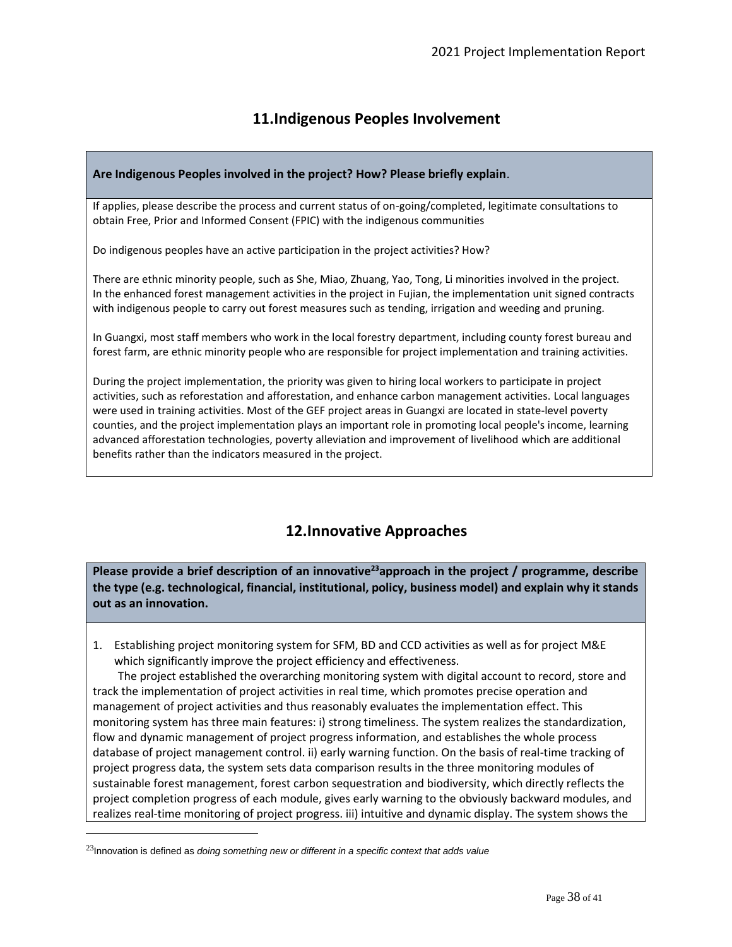## **11.Indigenous Peoples Involvement**

#### **Are Indigenous Peoples involved in the project? How? Please briefly explain**.

If applies, please describe the process and current status of on-going/completed, legitimate consultations to obtain Free, Prior and Informed Consent (FPIC) with the indigenous communities

Do indigenous peoples have an active participation in the project activities? How?

There are ethnic minority people, such as She, Miao, Zhuang, Yao, Tong, Li minorities involved in the project. In the enhanced forest management activities in the project in Fujian, the implementation unit signed contracts with indigenous people to carry out forest measures such as tending, irrigation and weeding and pruning.

In Guangxi, most staff members who work in the local forestry department, including county forest bureau and forest farm, are ethnic minority people who are responsible for project implementation and training activities.

During the project implementation, the priority was given to hiring local workers to participate in project activities, such as reforestation and afforestation, and enhance carbon management activities. Local languages were used in training activities. Most of the GEF project areas in Guangxi are located in state-level poverty counties, and the project implementation plays an important role in promoting local people's income, learning advanced afforestation technologies, poverty alleviation and improvement of livelihood which are additional benefits rather than the indicators measured in the project.

## **12.Innovative Approaches**

**Please provide a brief description of an innovative<sup>23</sup>approach in the project / programme, describe the type (e.g. technological, financial, institutional, policy, business model) and explain why it stands out as an innovation.**

1. Establishing project monitoring system for SFM, BD and CCD activities as well as for project M&E which significantly improve the project efficiency and effectiveness.

The project established the overarching monitoring system with digital account to record, store and track the implementation of project activities in real time, which promotes precise operation and management of project activities and thus reasonably evaluates the implementation effect. This monitoring system has three main features: i) strong timeliness. The system realizes the standardization, flow and dynamic management of project progress information, and establishes the whole process database of project management control. ii) early warning function. On the basis of real-time tracking of project progress data, the system sets data comparison results in the three monitoring modules of sustainable forest management, forest carbon sequestration and biodiversity, which directly reflects the project completion progress of each module, gives early warning to the obviously backward modules, and realizes real-time monitoring of project progress. iii) intuitive and dynamic display. The system shows the

<sup>23</sup>Innovation is defined as *doing something new or different in a specific context that adds value*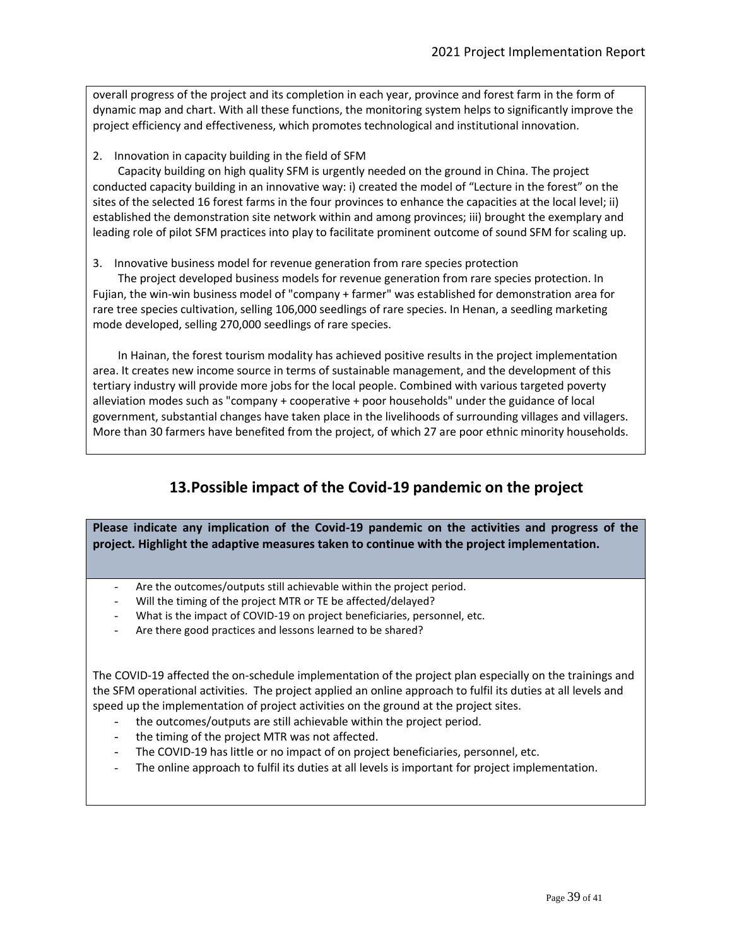overall progress of the project and its completion in each year, province and forest farm in the form of dynamic map and chart. With all these functions, the monitoring system helps to significantly improve the project efficiency and effectiveness, which promotes technological and institutional innovation.

2. Innovation in capacity building in the field of SFM

Capacity building on high quality SFM is urgently needed on the ground in China. The project conducted capacity building in an innovative way: i) created the model of "Lecture in the forest" on the sites of the selected 16 forest farms in the four provinces to enhance the capacities at the local level; ii) established the demonstration site network within and among provinces; iii) brought the exemplary and leading role of pilot SFM practices into play to facilitate prominent outcome of sound SFM for scaling up.

3. Innovative business model for revenue generation from rare species protection

The project developed business models for revenue generation from rare species protection. In Fujian, the win-win business model of "company + farmer" was established for demonstration area for rare tree species cultivation, selling 106,000 seedlings of rare species. In Henan, a seedling marketing mode developed, selling 270,000 seedlings of rare species.

In Hainan, the forest tourism modality has achieved positive results in the project implementation area. It creates new income source in terms of sustainable management, and the development of this tertiary industry will provide more jobs for the local people. Combined with various targeted poverty alleviation modes such as "company + cooperative + poor households" under the guidance of local government, substantial changes have taken place in the livelihoods of surrounding villages and villagers. More than 30 farmers have benefited from the project, of which 27 are poor ethnic minority households.

## **13.Possible impact of the Covid-19 pandemic on the project**

**Please indicate any implication of the Covid-19 pandemic on the activities and progress of the project. Highlight the adaptive measures taken to continue with the project implementation.**

- Are the outcomes/outputs still achievable within the project period.
- Will the timing of the project MTR or TE be affected/delayed?
- What is the impact of COVID-19 on project beneficiaries, personnel, etc.
- Are there good practices and lessons learned to be shared?

The COVID-19 affected the on-schedule implementation of the project plan especially on the trainings and the SFM operational activities. The project applied an online approach to fulfil its duties at all levels and speed up the implementation of project activities on the ground at the project sites.

- the outcomes/outputs are still achievable within the project period.
- the timing of the project MTR was not affected.
- The COVID-19 has little or no impact of on project beneficiaries, personnel, etc.
- The online approach to fulfil its duties at all levels is important for project implementation.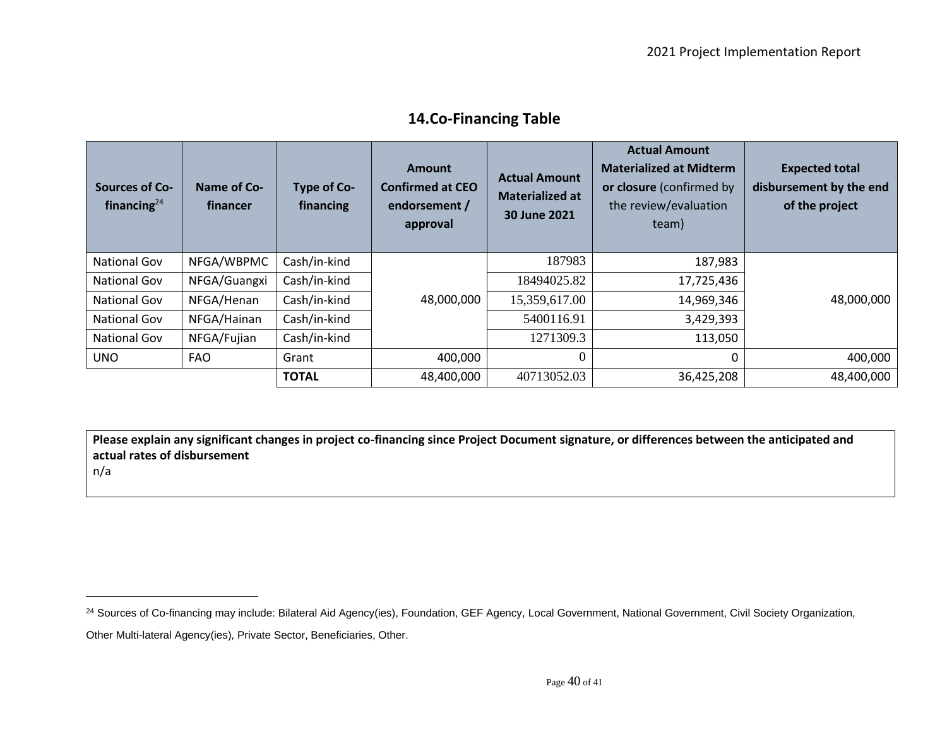| <b>Sources of Co-</b><br>financing $^{24}$ | Name of Co-<br>financer | Type of Co-<br>financing | Amount<br><b>Confirmed at CEO</b><br>endorsement /<br>approval | <b>Actual Amount</b><br><b>Materialized at</b><br>30 June 2021 | <b>Actual Amount</b><br><b>Materialized at Midterm</b><br>or closure (confirmed by<br>the review/evaluation<br>team) | <b>Expected total</b><br>disbursement by the end<br>of the project |
|--------------------------------------------|-------------------------|--------------------------|----------------------------------------------------------------|----------------------------------------------------------------|----------------------------------------------------------------------------------------------------------------------|--------------------------------------------------------------------|
| National Gov                               | NFGA/WBPMC              | Cash/in-kind             |                                                                | 187983                                                         | 187,983                                                                                                              |                                                                    |
| National Gov                               | NFGA/Guangxi            | Cash/in-kind             |                                                                | 18494025.82                                                    | 17,725,436                                                                                                           |                                                                    |
| National Gov                               | NFGA/Henan              | Cash/in-kind             | 48,000,000                                                     | 15,359,617.00                                                  | 14,969,346                                                                                                           | 48,000,000                                                         |
| National Gov                               | NFGA/Hainan             | Cash/in-kind             |                                                                | 5400116.91                                                     | 3,429,393                                                                                                            |                                                                    |
| National Gov                               | NFGA/Fujian             | Cash/in-kind             |                                                                | 1271309.3                                                      | 113,050                                                                                                              |                                                                    |
| <b>UNO</b>                                 | <b>FAO</b>              | Grant                    | 400,000                                                        | $\theta$                                                       | 0                                                                                                                    | 400,000                                                            |
|                                            |                         | <b>TOTAL</b>             | 48,400,000                                                     | 40713052.03                                                    | 36,425,208                                                                                                           | 48,400,000                                                         |

### **14.Co-Financing Table**

**Please explain any significant changes in project co-financing since Project Document signature, or differences between the anticipated and actual rates of disbursement**

n/a

<sup>&</sup>lt;sup>24</sup> Sources of Co-financing may include: Bilateral Aid Agency(ies), Foundation, GEF Agency, Local Government, National Government, Civil Society Organization, Other Multi-lateral Agency(ies), Private Sector, Beneficiaries, Other.